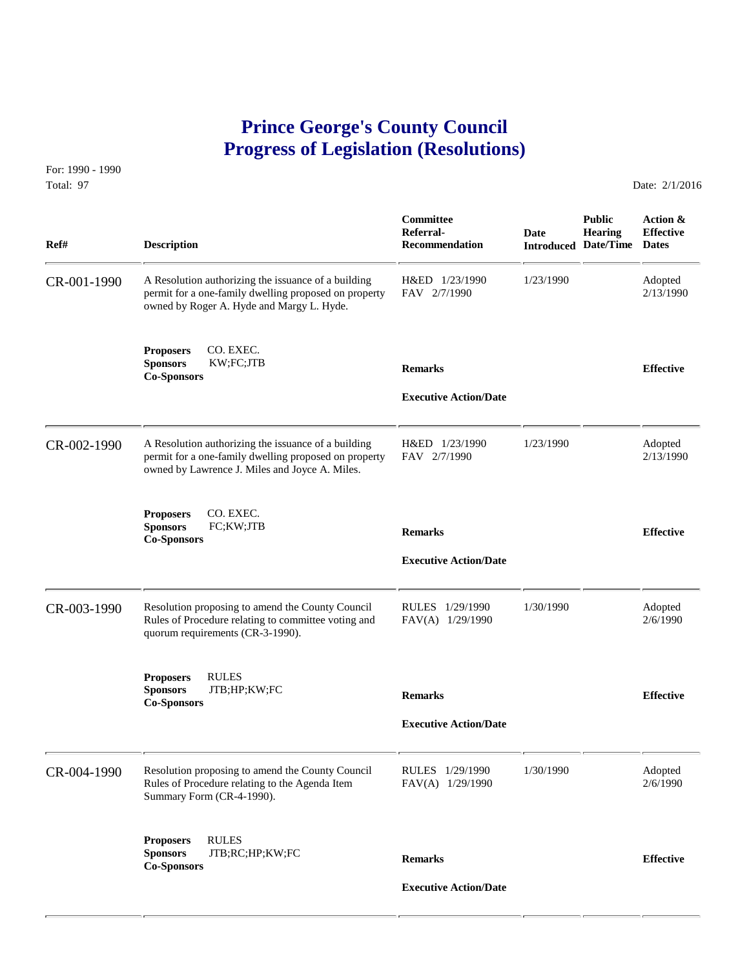## **Prince George's County Council Progress of Legislation (Resolutions)**

For: 1990 - 1990 Total: 97 Date: 2/1/2016

| Ref#        | <b>Description</b>                                                                                                                                             | Committee<br>Referral-<br>Recommendation       | <b>Date</b> | <b>Public</b><br><b>Hearing</b><br><b>Introduced Date/Time</b> | Action &<br><b>Effective</b><br><b>Dates</b> |
|-------------|----------------------------------------------------------------------------------------------------------------------------------------------------------------|------------------------------------------------|-------------|----------------------------------------------------------------|----------------------------------------------|
| CR-001-1990 | A Resolution authorizing the issuance of a building<br>permit for a one-family dwelling proposed on property<br>owned by Roger A. Hyde and Margy L. Hyde.      | H&ED 1/23/1990<br>FAV 2/7/1990                 | 1/23/1990   |                                                                | Adopted<br>2/13/1990                         |
|             | CO. EXEC.<br><b>Proposers</b><br><b>Sponsors</b><br>KW;FC;JTB<br><b>Co-Sponsors</b>                                                                            | <b>Remarks</b><br><b>Executive Action/Date</b> |             |                                                                | <b>Effective</b>                             |
| CR-002-1990 | A Resolution authorizing the issuance of a building<br>permit for a one-family dwelling proposed on property<br>owned by Lawrence J. Miles and Joyce A. Miles. | H&ED 1/23/1990<br>FAV 2/7/1990                 | 1/23/1990   |                                                                | Adopted<br>2/13/1990                         |
|             | CO. EXEC.<br><b>Proposers</b><br><b>Sponsors</b><br>FC;KW;JTB<br><b>Co-Sponsors</b>                                                                            | <b>Remarks</b><br><b>Executive Action/Date</b> |             |                                                                | <b>Effective</b>                             |
| CR-003-1990 | Resolution proposing to amend the County Council<br>Rules of Procedure relating to committee voting and<br>quorum requirements (CR-3-1990).                    | RULES 1/29/1990<br>FAV(A) 1/29/1990            | 1/30/1990   |                                                                | Adopted<br>2/6/1990                          |
|             | <b>Proposers</b><br><b>RULES</b><br><b>Sponsors</b><br>JTB;HP;KW;FC<br><b>Co-Sponsors</b>                                                                      | <b>Remarks</b><br><b>Executive Action/Date</b> |             |                                                                | <b>Effective</b>                             |
| CR-004-1990 | Resolution proposing to amend the County Council<br>Rules of Procedure relating to the Agenda Item<br>Summary Form (CR-4-1990).                                | RULES 1/29/1990<br>FAV(A) 1/29/1990            | 1/30/1990   |                                                                | Adopted<br>2/6/1990                          |
|             | <b>RULES</b><br><b>Proposers</b><br><b>Sponsors</b><br>JTB;RC;HP;KW;FC<br><b>Co-Sponsors</b>                                                                   | <b>Remarks</b><br><b>Executive Action/Date</b> |             |                                                                | <b>Effective</b>                             |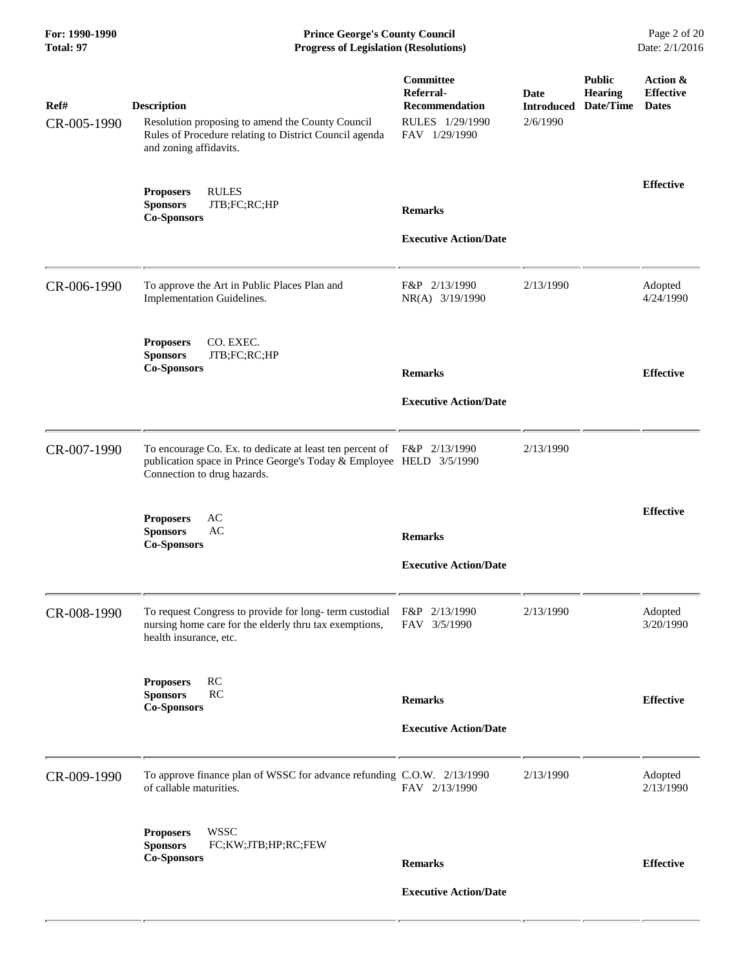**For: 1990-1990 Prince George's County Council** Page 2 of 20<br> **Prince George's County Council** Page 2 of 20<br> **Progress of Legislation (Resolutions)** Date: 2/1/2016 **Progress of Legislation (Resolutions) Progress of Legislation (Resolutions)** 

| Ref#<br>CR-005-1990 | <b>Description</b><br>Resolution proposing to amend the County Council<br>Rules of Procedure relating to District Council agenda<br>and zoning affidavits.                   | Committee<br>Referral-<br><b>Recommendation</b><br>RULES 1/29/1990<br>FAV 1/29/1990 | Date<br><b>Introduced</b><br>2/6/1990 | <b>Public</b><br><b>Hearing</b><br>Date/Time | Action &<br><b>Effective</b><br><b>Dates</b> |
|---------------------|------------------------------------------------------------------------------------------------------------------------------------------------------------------------------|-------------------------------------------------------------------------------------|---------------------------------------|----------------------------------------------|----------------------------------------------|
|                     | <b>RULES</b><br><b>Proposers</b><br>JTB;FC;RC;HP<br><b>Sponsors</b><br><b>Co-Sponsors</b>                                                                                    | <b>Remarks</b><br><b>Executive Action/Date</b>                                      |                                       |                                              | <b>Effective</b>                             |
| CR-006-1990         | To approve the Art in Public Places Plan and<br>Implementation Guidelines.                                                                                                   | F&P 2/13/1990<br>NR(A) 3/19/1990                                                    | 2/13/1990                             |                                              | Adopted<br>4/24/1990                         |
|                     | <b>Proposers</b><br>CO. EXEC.<br><b>Sponsors</b><br>JTB;FC;RC;HP<br><b>Co-Sponsors</b>                                                                                       | <b>Remarks</b><br><b>Executive Action/Date</b>                                      |                                       |                                              | <b>Effective</b>                             |
| CR-007-1990         | To encourage Co. Ex. to dedicate at least ten percent of F&P 2/13/1990<br>publication space in Prince George's Today & Employee HELD 3/5/1990<br>Connection to drug hazards. |                                                                                     | 2/13/1990                             |                                              |                                              |
|                     | <b>Proposers</b><br>AC<br><b>Sponsors</b><br>AC<br><b>Co-Sponsors</b>                                                                                                        | <b>Remarks</b><br><b>Executive Action/Date</b>                                      |                                       |                                              | <b>Effective</b>                             |
| CR-008-1990         | To request Congress to provide for long-term custodial<br>nursing home care for the elderly thru tax exemptions,<br>health insurance, etc.                                   | F&P 2/13/1990<br>FAV 3/5/1990                                                       | 2/13/1990                             |                                              | Adopted<br>3/20/1990                         |
|                     | RC<br><b>Proposers</b><br><b>RC</b><br><b>Sponsors</b><br><b>Co-Sponsors</b>                                                                                                 | <b>Remarks</b><br><b>Executive Action/Date</b>                                      |                                       |                                              | <b>Effective</b>                             |
| CR-009-1990         | To approve finance plan of WSSC for advance refunding C.O.W. 2/13/1990<br>of callable maturities.                                                                            | FAV 2/13/1990                                                                       | 2/13/1990                             |                                              | Adopted<br>2/13/1990                         |
|                     | <b>WSSC</b><br><b>Proposers</b><br><b>Sponsors</b><br>FC;KW;JTB;HP;RC;FEW<br><b>Co-Sponsors</b>                                                                              | <b>Remarks</b><br><b>Executive Action/Date</b>                                      |                                       |                                              | <b>Effective</b>                             |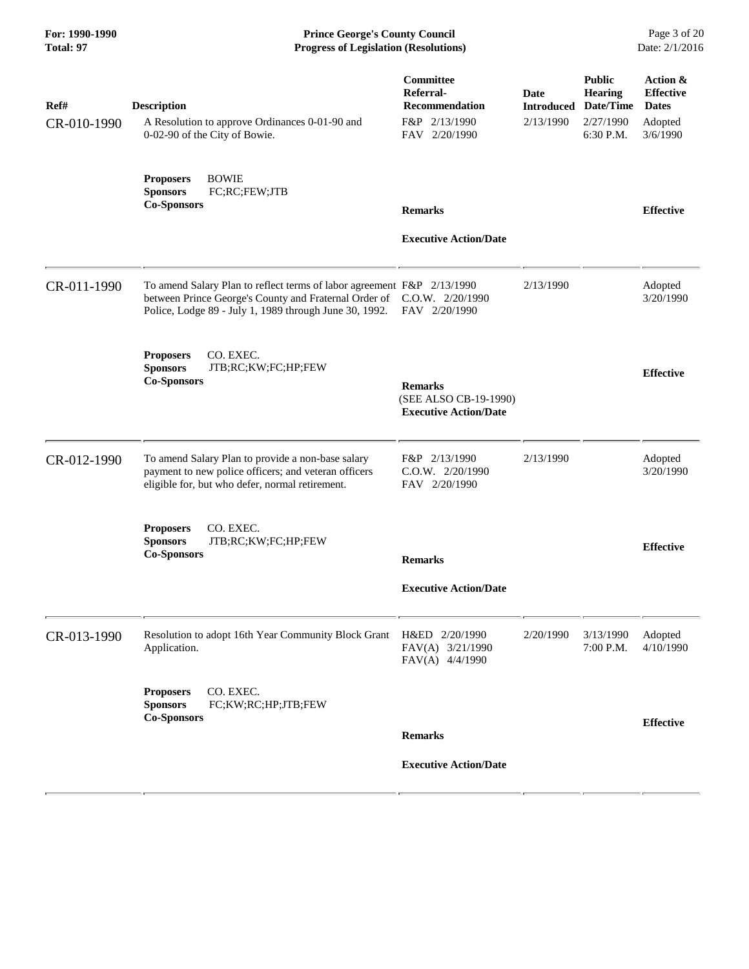**For: 1990-1990 Prince George's County Council** Page 3 of 20<br> **Prince George's County Council** Page 3 of 20<br> **Progress of Legislation (Resolutions)** Date: 2/1/2016 **Progress of Legislation (Resolutions) Progress of Legislation (Resolutions)** 

| Ref#        | <b>Description</b>                                                                                                                                                                                         | Committee<br>Referral-<br>Recommendation                                | <b>Date</b><br><b>Introduced</b> | <b>Public</b><br><b>Hearing</b><br>Date/Time | Action &<br><b>Effective</b><br><b>Dates</b> |
|-------------|------------------------------------------------------------------------------------------------------------------------------------------------------------------------------------------------------------|-------------------------------------------------------------------------|----------------------------------|----------------------------------------------|----------------------------------------------|
| CR-010-1990 | A Resolution to approve Ordinances 0-01-90 and<br>0-02-90 of the City of Bowie.                                                                                                                            | F&P 2/13/1990<br>FAV 2/20/1990                                          | 2/13/1990                        | 2/27/1990<br>6:30 P.M.                       | Adopted<br>3/6/1990                          |
|             | <b>BOWIE</b><br><b>Proposers</b><br><b>Sponsors</b><br>FC;RC;FEW;JTB<br><b>Co-Sponsors</b>                                                                                                                 | <b>Remarks</b>                                                          |                                  |                                              | <b>Effective</b>                             |
|             |                                                                                                                                                                                                            | <b>Executive Action/Date</b>                                            |                                  |                                              |                                              |
| CR-011-1990 | To amend Salary Plan to reflect terms of labor agreement F&P 2/13/1990<br>between Prince George's County and Fraternal Order of C.O.W. 2/20/1990<br>Police, Lodge 89 - July 1, 1989 through June 30, 1992. | FAV 2/20/1990                                                           | 2/13/1990                        |                                              | Adopted<br>3/20/1990                         |
|             | CO. EXEC.<br><b>Proposers</b><br><b>Sponsors</b><br>JTB;RC;KW;FC;HP;FEW<br><b>Co-Sponsors</b>                                                                                                              | <b>Remarks</b><br>(SEE ALSO CB-19-1990)<br><b>Executive Action/Date</b> |                                  |                                              | <b>Effective</b>                             |
| CR-012-1990 | To amend Salary Plan to provide a non-base salary<br>payment to new police officers; and veteran officers<br>eligible for, but who defer, normal retirement.                                               | F&P 2/13/1990<br>$C.0.W.$ $2/20/1990$<br>FAV 2/20/1990                  | 2/13/1990                        |                                              | Adopted<br>3/20/1990                         |
|             | CO. EXEC.<br><b>Proposers</b><br><b>Sponsors</b><br>JTB;RC;KW;FC;HP;FEW<br><b>Co-Sponsors</b>                                                                                                              | <b>Remarks</b>                                                          |                                  |                                              | <b>Effective</b>                             |
|             |                                                                                                                                                                                                            | <b>Executive Action/Date</b>                                            |                                  |                                              |                                              |
| CR-013-1990 | Resolution to adopt 16th Year Community Block Grant H&ED 2/20/1990<br>Application.                                                                                                                         | FAV(A) 3/21/1990<br>FAV(A) 4/4/1990                                     | 2/20/1990                        | 3/13/1990<br>7:00 P.M.                       | Adopted<br>4/10/1990                         |
|             | CO. EXEC.<br><b>Proposers</b><br>FC;KW;RC;HP;JTB;FEW<br><b>Sponsors</b><br><b>Co-Sponsors</b>                                                                                                              |                                                                         |                                  |                                              | <b>Effective</b>                             |
|             |                                                                                                                                                                                                            | <b>Remarks</b><br><b>Executive Action/Date</b>                          |                                  |                                              |                                              |
|             |                                                                                                                                                                                                            |                                                                         |                                  |                                              |                                              |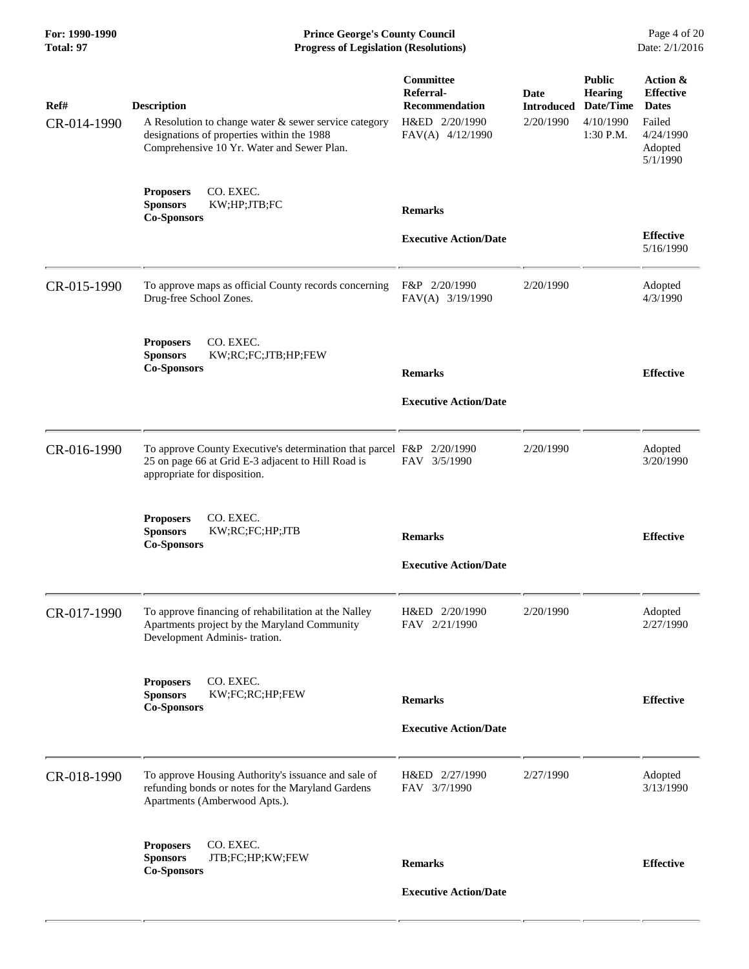**For: 1990-1990 Prince George's County Council** Page 4 of 20<br> **Prince George's County Council** Page 4 of 20<br> **Progress of Legislation (Resolutions)** Date: 2/1/2016 **Progress of Legislation (Resolutions) Progress of Legislation (Resolutions)** 

| Ref#<br>CR-014-1990 | <b>Description</b><br>A Resolution to change water $\&$ sewer service category<br>designations of properties within the 1988<br>Comprehensive 10 Yr. Water and Sewer Plan. | Committee<br>Referral-<br>Recommendation<br>H&ED 2/20/1990<br>FAV(A) 4/12/1990 | Date<br><b>Introduced</b><br>2/20/1990 | <b>Public</b><br><b>Hearing</b><br>Date/Time<br>4/10/1990<br>1:30 P.M. | Action &<br><b>Effective</b><br><b>Dates</b><br>Failed<br>4/24/1990<br>Adopted<br>5/1/1990 |
|---------------------|----------------------------------------------------------------------------------------------------------------------------------------------------------------------------|--------------------------------------------------------------------------------|----------------------------------------|------------------------------------------------------------------------|--------------------------------------------------------------------------------------------|
|                     | CO. EXEC.<br><b>Proposers</b><br><b>Sponsors</b><br>KW;HP;JTB;FC<br><b>Co-Sponsors</b>                                                                                     | <b>Remarks</b>                                                                 |                                        |                                                                        | <b>Effective</b>                                                                           |
|                     |                                                                                                                                                                            | <b>Executive Action/Date</b>                                                   |                                        |                                                                        | 5/16/1990                                                                                  |
| CR-015-1990         | To approve maps as official County records concerning<br>Drug-free School Zones.                                                                                           | F&P 2/20/1990<br>FAV(A) 3/19/1990                                              | 2/20/1990                              |                                                                        | Adopted<br>4/3/1990                                                                        |
|                     | CO. EXEC.<br><b>Proposers</b><br><b>Sponsors</b><br>KW;RC;FC;JTB;HP;FEW<br><b>Co-Sponsors</b>                                                                              | <b>Remarks</b>                                                                 |                                        |                                                                        | <b>Effective</b>                                                                           |
|                     |                                                                                                                                                                            | <b>Executive Action/Date</b>                                                   |                                        |                                                                        |                                                                                            |
| CR-016-1990         | To approve County Executive's determination that parcel F&P 2/20/1990<br>25 on page 66 at Grid E-3 adjacent to Hill Road is<br>appropriate for disposition.                | FAV 3/5/1990                                                                   | 2/20/1990                              |                                                                        | Adopted<br>3/20/1990                                                                       |
|                     | <b>Proposers</b><br>CO. EXEC.<br><b>Sponsors</b><br>KW;RC;FC;HP;JTB<br><b>Co-Sponsors</b>                                                                                  | <b>Remarks</b><br><b>Executive Action/Date</b>                                 |                                        |                                                                        | <b>Effective</b>                                                                           |
| CR-017-1990         | To approve financing of rehabilitation at the Nalley<br>Apartments project by the Maryland Community<br>Development Adminis- tration.                                      | H&ED 2/20/1990<br>FAV 2/21/1990                                                | 2/20/1990                              |                                                                        | Adopted<br>2/27/1990                                                                       |
|                     | CO. EXEC.<br><b>Proposers</b><br><b>Sponsors</b><br>KW;FC;RC;HP;FEW<br><b>Co-Sponsors</b>                                                                                  | <b>Remarks</b>                                                                 |                                        |                                                                        | <b>Effective</b>                                                                           |
|                     |                                                                                                                                                                            | <b>Executive Action/Date</b>                                                   |                                        |                                                                        |                                                                                            |
| CR-018-1990         | To approve Housing Authority's issuance and sale of<br>refunding bonds or notes for the Maryland Gardens<br>Apartments (Amberwood Apts.).                                  | H&ED 2/27/1990<br>FAV 3/7/1990                                                 | 2/27/1990                              |                                                                        | Adopted<br>3/13/1990                                                                       |
|                     | CO. EXEC.<br><b>Proposers</b><br><b>Sponsors</b><br>JTB;FC;HP;KW;FEW<br><b>Co-Sponsors</b>                                                                                 | <b>Remarks</b>                                                                 |                                        |                                                                        | <b>Effective</b>                                                                           |
|                     |                                                                                                                                                                            | <b>Executive Action/Date</b>                                                   |                                        |                                                                        |                                                                                            |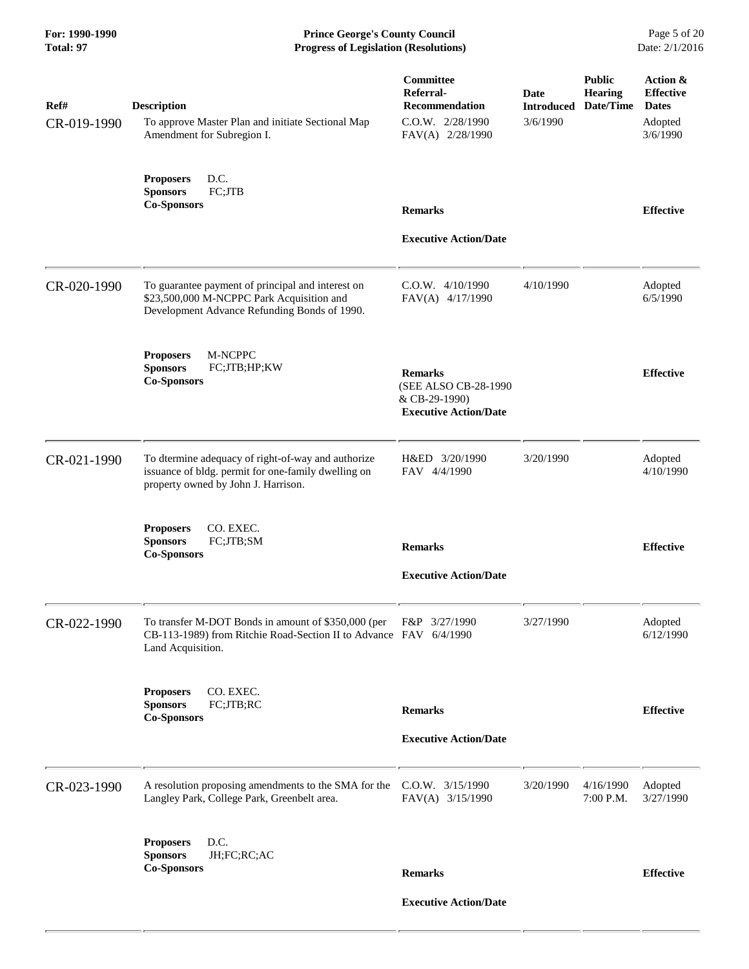**For: 1990-1990 Prince George's County Council** Page 5 of 20<br>**Progress of Legislation (Resolutions)** Date: 2/1/2016 **Progress of Legislation (Resolutions) Progress of Legislation (Resolutions)** 

| Ref#<br>CR-019-1990 | <b>Description</b><br>To approve Master Plan and initiate Sectional Map<br>Amendment for Subregion I.                                            | Committee<br>Referral-<br><b>Recommendation</b><br>C.O.W. 2/28/1990<br>FAV(A) 2/28/1990 | Date<br><b>Introduced</b><br>3/6/1990 | <b>Public</b><br><b>Hearing</b><br>Date/Time | Action &<br><b>Effective</b><br><b>Dates</b><br>Adopted<br>3/6/1990 |
|---------------------|--------------------------------------------------------------------------------------------------------------------------------------------------|-----------------------------------------------------------------------------------------|---------------------------------------|----------------------------------------------|---------------------------------------------------------------------|
|                     | D.C.<br><b>Proposers</b><br><b>Sponsors</b><br>FC;JTB<br><b>Co-Sponsors</b>                                                                      | <b>Remarks</b><br><b>Executive Action/Date</b>                                          |                                       |                                              | <b>Effective</b>                                                    |
| CR-020-1990         | To guarantee payment of principal and interest on<br>\$23,500,000 M-NCPPC Park Acquisition and<br>Development Advance Refunding Bonds of 1990.   | $C.0.W.$ 4/10/1990<br>FAV(A) 4/17/1990                                                  | 4/10/1990                             |                                              | Adopted<br>6/5/1990                                                 |
|                     | M-NCPPC<br><b>Proposers</b><br><b>Sponsors</b><br>FC;JTB;HP;KW<br><b>Co-Sponsors</b>                                                             | <b>Remarks</b><br>(SEE ALSO CB-28-1990<br>& CB-29-1990)<br><b>Executive Action/Date</b> |                                       |                                              | <b>Effective</b>                                                    |
| CR-021-1990         | To dtermine adequacy of right-of-way and authorize<br>issuance of bldg. permit for one-family dwelling on<br>property owned by John J. Harrison. | H&ED 3/20/1990<br>FAV 4/4/1990                                                          | 3/20/1990                             |                                              | Adopted<br>4/10/1990                                                |
|                     | CO. EXEC.<br><b>Proposers</b><br><b>Sponsors</b><br>FC;JTB;SM<br><b>Co-Sponsors</b>                                                              | <b>Remarks</b><br><b>Executive Action/Date</b>                                          |                                       |                                              | <b>Effective</b>                                                    |
| CR-022-1990         | To transfer M-DOT Bonds in amount of \$350,000 (per<br>CB-113-1989) from Ritchie Road-Section II to Advance FAV 6/4/1990<br>Land Acquisition.    | F&P 3/27/1990                                                                           | 3/27/1990                             |                                              | Adopted<br>6/12/1990                                                |
|                     | CO. EXEC.<br><b>Proposers</b><br>FC;JTB;RC<br><b>Sponsors</b><br><b>Co-Sponsors</b>                                                              | <b>Remarks</b><br><b>Executive Action/Date</b>                                          |                                       |                                              | <b>Effective</b>                                                    |
| CR-023-1990         | A resolution proposing amendments to the SMA for the<br>Langley Park, College Park, Greenbelt area.                                              | C.O.W. 3/15/1990<br>FAV(A) 3/15/1990                                                    | 3/20/1990                             | 4/16/1990<br>7:00 P.M.                       | Adopted<br>3/27/1990                                                |
|                     | D.C.<br><b>Proposers</b><br>JH;FC;RC;AC<br><b>Sponsors</b><br><b>Co-Sponsors</b>                                                                 | <b>Remarks</b><br><b>Executive Action/Date</b>                                          |                                       |                                              | <b>Effective</b>                                                    |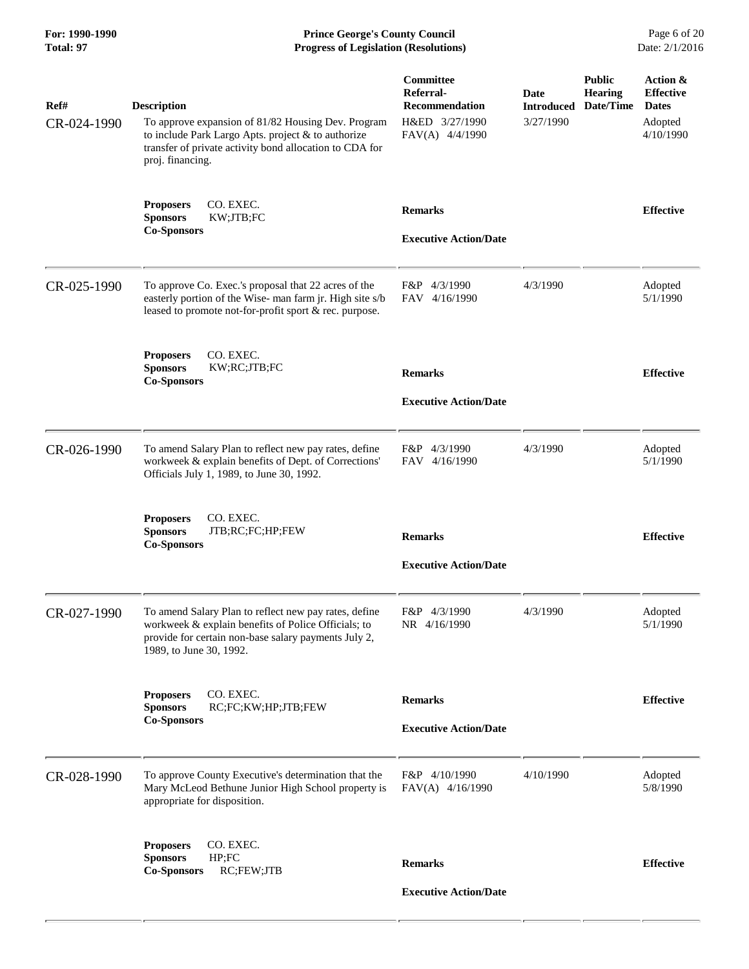**For: 1990-1990 Prince George's County Council** Page 6 of 20<br> **Prince George's County Council** Page 6 of 20<br> **Progress of Legislation (Resolutions)** Date: 2/1/2016 **Progress of Legislation (Resolutions) Progress of Legislation (Resolutions)** 

| Ref#<br>CR-024-1990 | <b>Description</b><br>To approve expansion of 81/82 Housing Dev. Program<br>to include Park Largo Apts. project & to authorize<br>transfer of private activity bond allocation to CDA for<br>proj. financing. | Committee<br>Referral-<br><b>Recommendation</b><br>H&ED 3/27/1990<br>FAV(A) 4/4/1990 | Date<br><b>Introduced</b><br>3/27/1990 | <b>Public</b><br><b>Hearing</b><br>Date/Time | Action &<br><b>Effective</b><br><b>Dates</b><br>Adopted<br>4/10/1990 |
|---------------------|---------------------------------------------------------------------------------------------------------------------------------------------------------------------------------------------------------------|--------------------------------------------------------------------------------------|----------------------------------------|----------------------------------------------|----------------------------------------------------------------------|
|                     | CO. EXEC.<br><b>Proposers</b><br><b>Sponsors</b><br>KW;JTB;FC<br><b>Co-Sponsors</b>                                                                                                                           | <b>Remarks</b><br><b>Executive Action/Date</b>                                       |                                        |                                              | <b>Effective</b>                                                     |
| CR-025-1990         | To approve Co. Exec.'s proposal that 22 acres of the<br>easterly portion of the Wise- man farm jr. High site s/b<br>leased to promote not-for-profit sport & rec. purpose.                                    | F&P 4/3/1990<br>FAV 4/16/1990                                                        | 4/3/1990                               |                                              | Adopted<br>5/1/1990                                                  |
|                     | CO. EXEC.<br><b>Proposers</b><br><b>Sponsors</b><br>KW;RC;JTB;FC<br><b>Co-Sponsors</b>                                                                                                                        | <b>Remarks</b><br><b>Executive Action/Date</b>                                       |                                        |                                              | <b>Effective</b>                                                     |
| CR-026-1990         | To amend Salary Plan to reflect new pay rates, define<br>workweek & explain benefits of Dept. of Corrections'<br>Officials July 1, 1989, to June 30, 1992.                                                    | F&P 4/3/1990<br>FAV 4/16/1990                                                        | 4/3/1990                               |                                              | Adopted<br>5/1/1990                                                  |
|                     | CO. EXEC.<br><b>Proposers</b><br><b>Sponsors</b><br>JTB;RC;FC;HP;FEW<br><b>Co-Sponsors</b>                                                                                                                    | <b>Remarks</b><br><b>Executive Action/Date</b>                                       |                                        |                                              | <b>Effective</b>                                                     |
| CR-027-1990         | To amend Salary Plan to reflect new pay rates, define<br>workweek & explain benefits of Police Officials; to<br>provide for certain non-base salary payments July 2,<br>1989, to June 30, 1992.               | F&P 4/3/1990<br>NR 4/16/1990                                                         | 4/3/1990                               |                                              | Adopted<br>5/1/1990                                                  |
|                     | CO. EXEC.<br><b>Proposers</b><br><b>Sponsors</b><br>RC;FC;KW;HP;JTB;FEW<br><b>Co-Sponsors</b>                                                                                                                 | <b>Remarks</b><br><b>Executive Action/Date</b>                                       |                                        |                                              | <b>Effective</b>                                                     |
| CR-028-1990         | To approve County Executive's determination that the<br>Mary McLeod Bethune Junior High School property is<br>appropriate for disposition.                                                                    | F&P 4/10/1990<br>FAV(A) 4/16/1990                                                    | 4/10/1990                              |                                              | Adopted<br>5/8/1990                                                  |
|                     | CO. EXEC.<br><b>Proposers</b><br>HP; FC<br><b>Sponsors</b><br><b>Co-Sponsors</b><br>RC;FEW;JTB                                                                                                                | <b>Remarks</b><br><b>Executive Action/Date</b>                                       |                                        |                                              | <b>Effective</b>                                                     |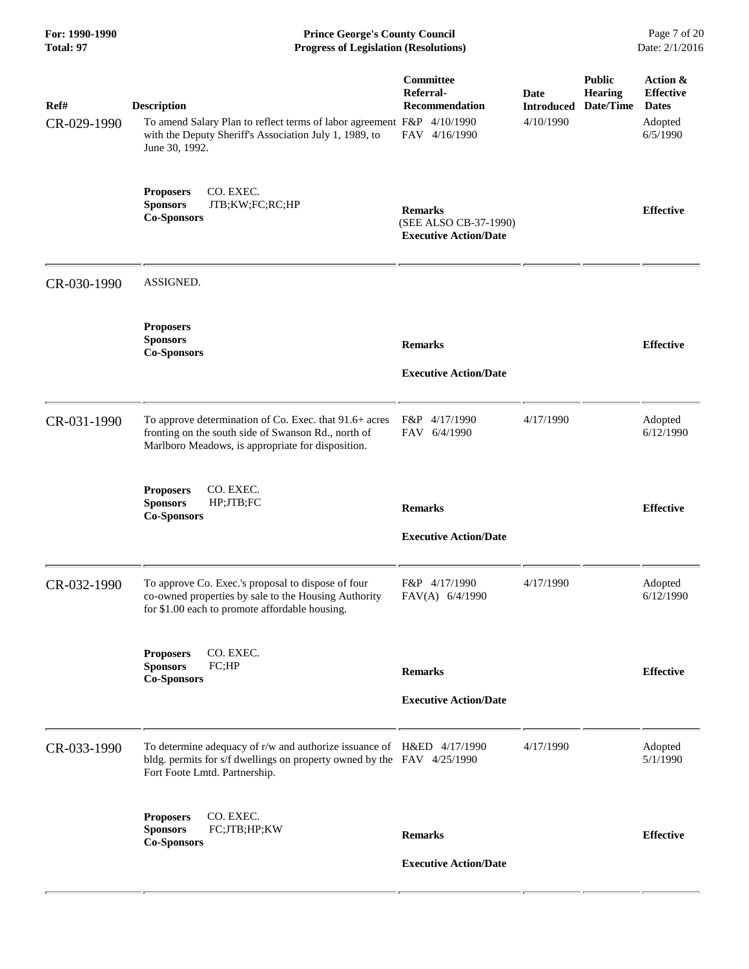| For: 1990-1990<br>Total: 97 | <b>Prince George's County Council</b><br>Date: 2/1/2016<br><b>Progress of Legislation (Resolutions)</b>                                                                          |                                                                         |                                        |                                              |                                                                     |
|-----------------------------|----------------------------------------------------------------------------------------------------------------------------------------------------------------------------------|-------------------------------------------------------------------------|----------------------------------------|----------------------------------------------|---------------------------------------------------------------------|
| Ref#<br>CR-029-1990         | <b>Description</b><br>To amend Salary Plan to reflect terms of labor agreement F&P 4/10/1990<br>with the Deputy Sheriff's Association July 1, 1989, to<br>June 30, 1992.         | Committee<br>Referral-<br><b>Recommendation</b><br>FAV 4/16/1990        | Date<br><b>Introduced</b><br>4/10/1990 | <b>Public</b><br><b>Hearing</b><br>Date/Time | Action &<br><b>Effective</b><br><b>Dates</b><br>Adopted<br>6/5/1990 |
|                             | CO. EXEC.<br><b>Proposers</b><br><b>Sponsors</b><br>JTB;KW;FC;RC;HP<br><b>Co-Sponsors</b>                                                                                        | <b>Remarks</b><br>(SEE ALSO CB-37-1990)<br><b>Executive Action/Date</b> |                                        |                                              | <b>Effective</b>                                                    |
| CR-030-1990                 | ASSIGNED.                                                                                                                                                                        |                                                                         |                                        |                                              |                                                                     |
|                             | <b>Proposers</b><br><b>Sponsors</b><br><b>Co-Sponsors</b>                                                                                                                        | <b>Remarks</b><br><b>Executive Action/Date</b>                          |                                        |                                              | <b>Effective</b>                                                    |
| CR-031-1990                 | To approve determination of Co. Exec. that 91.6+ acres<br>fronting on the south side of Swanson Rd., north of<br>Marlboro Meadows, is appropriate for disposition.               | F&P 4/17/1990<br>FAV 6/4/1990                                           | 4/17/1990                              |                                              | Adopted<br>6/12/1990                                                |
|                             | <b>Proposers</b><br>CO. EXEC.<br><b>Sponsors</b><br>HP;JTB;FC<br><b>Co-Sponsors</b>                                                                                              | <b>Remarks</b><br><b>Executive Action/Date</b>                          |                                        |                                              | <b>Effective</b>                                                    |
| CR-032-1990                 | To approve Co. Exec.'s proposal to dispose of four<br>co-owned properties by sale to the Housing Authority<br>for \$1.00 each to promote affordable housing.                     | F&P 4/17/1990<br>FAV(A) 6/4/1990                                        | 4/17/1990                              |                                              | Adopted<br>6/12/1990                                                |
|                             | CO. EXEC.<br><b>Proposers</b><br><b>Sponsors</b><br>FC;HP<br><b>Co-Sponsors</b>                                                                                                  | <b>Remarks</b><br><b>Executive Action/Date</b>                          |                                        |                                              | <b>Effective</b>                                                    |
| CR-033-1990                 | To determine adequacy of r/w and authorize issuance of H&ED 4/17/1990<br>bldg. permits for s/f dwellings on property owned by the FAV 4/25/1990<br>Fort Foote Lmtd. Partnership. |                                                                         | 4/17/1990                              |                                              | Adopted<br>5/1/1990                                                 |
|                             | CO. EXEC.<br><b>Proposers</b><br>FC;JTB;HP;KW<br><b>Sponsors</b><br><b>Co-Sponsors</b>                                                                                           | <b>Remarks</b><br><b>Executive Action/Date</b>                          |                                        |                                              | <b>Effective</b>                                                    |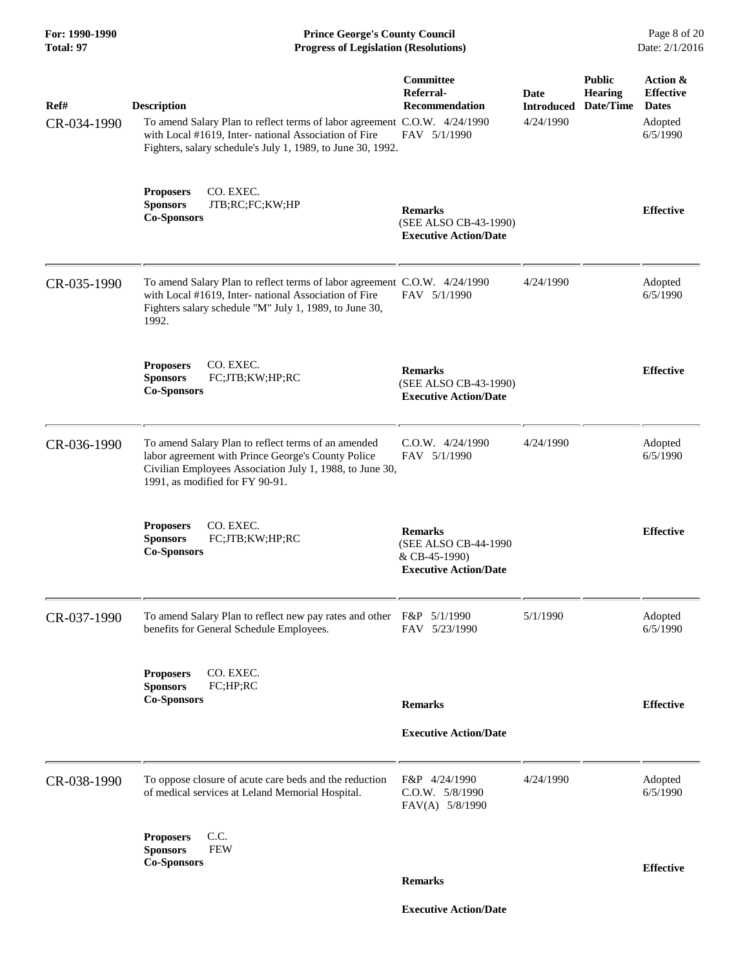**For: 1990-1990 Prince George's County Council** Page 8 of 20<br> **Prince George's County Council** Page 8 of 20<br> **Progress of Legislation (Resolutions)** Date: 2/1/2016 **Progress of Legislation (Resolutions) Progress of Legislation (Resolutions)** 

| Ref#<br>CR-034-1990 | <b>Description</b><br>To amend Salary Plan to reflect terms of labor agreement C.O.W. 4/24/1990<br>with Local #1619, Inter- national Association of Fire<br>Fighters, salary schedule's July 1, 1989, to June 30, 1992. | Committee<br>Referral-<br><b>Recommendation</b><br>FAV 5/1/1990                         | Date<br><b>Introduced</b><br>4/24/1990 | <b>Public</b><br><b>Hearing</b><br>Date/Time | Action &<br><b>Effective</b><br><b>Dates</b><br>Adopted<br>6/5/1990 |
|---------------------|-------------------------------------------------------------------------------------------------------------------------------------------------------------------------------------------------------------------------|-----------------------------------------------------------------------------------------|----------------------------------------|----------------------------------------------|---------------------------------------------------------------------|
|                     | <b>Proposers</b><br>CO. EXEC.<br>JTB;RC;FC;KW;HP<br><b>Sponsors</b><br><b>Co-Sponsors</b>                                                                                                                               | <b>Remarks</b><br>(SEE ALSO CB-43-1990)<br><b>Executive Action/Date</b>                 |                                        |                                              | <b>Effective</b>                                                    |
| CR-035-1990         | To amend Salary Plan to reflect terms of labor agreement C.O.W. 4/24/1990<br>with Local #1619, Inter- national Association of Fire<br>Fighters salary schedule "M" July 1, 1989, to June 30,<br>1992.                   | FAV 5/1/1990                                                                            | 4/24/1990                              |                                              | Adopted<br>6/5/1990                                                 |
|                     | CO. EXEC.<br><b>Proposers</b><br>FC;JTB;KW;HP;RC<br><b>Sponsors</b><br><b>Co-Sponsors</b>                                                                                                                               | <b>Remarks</b><br>(SEE ALSO CB-43-1990)<br><b>Executive Action/Date</b>                 |                                        |                                              | <b>Effective</b>                                                    |
| CR-036-1990         | To amend Salary Plan to reflect terms of an amended<br>labor agreement with Prince George's County Police<br>Civilian Employees Association July 1, 1988, to June 30,<br>1991, as modified for FY 90-91.                | $C.0.W.$ 4/24/1990<br>FAV 5/1/1990                                                      | 4/24/1990                              |                                              | Adopted<br>6/5/1990                                                 |
|                     | <b>Proposers</b><br>CO. EXEC.<br><b>Sponsors</b><br>FC;JTB;KW;HP;RC<br><b>Co-Sponsors</b>                                                                                                                               | <b>Remarks</b><br>(SEE ALSO CB-44-1990<br>& CB-45-1990)<br><b>Executive Action/Date</b> |                                        |                                              | <b>Effective</b>                                                    |
| CR-037-1990         | To amend Salary Plan to reflect new pay rates and other F&P 5/1/1990<br>benefits for General Schedule Employees.                                                                                                        | FAV 5/23/1990                                                                           | 5/1/1990                               |                                              | Adopted<br>6/5/1990                                                 |
|                     | CO. EXEC.<br><b>Proposers</b><br>FC;HP;RC<br><b>Sponsors</b><br><b>Co-Sponsors</b>                                                                                                                                      | <b>Remarks</b><br><b>Executive Action/Date</b>                                          |                                        |                                              | <b>Effective</b>                                                    |
| CR-038-1990         | To oppose closure of acute care beds and the reduction<br>of medical services at Leland Memorial Hospital.                                                                                                              | F&P 4/24/1990<br>C.O.W. 5/8/1990<br>FAV(A) 5/8/1990                                     | 4/24/1990                              |                                              | Adopted<br>6/5/1990                                                 |
|                     | C.C.<br><b>Proposers</b><br><b>Sponsors</b><br><b>FEW</b><br><b>Co-Sponsors</b>                                                                                                                                         | <b>Remarks</b>                                                                          |                                        |                                              | <b>Effective</b>                                                    |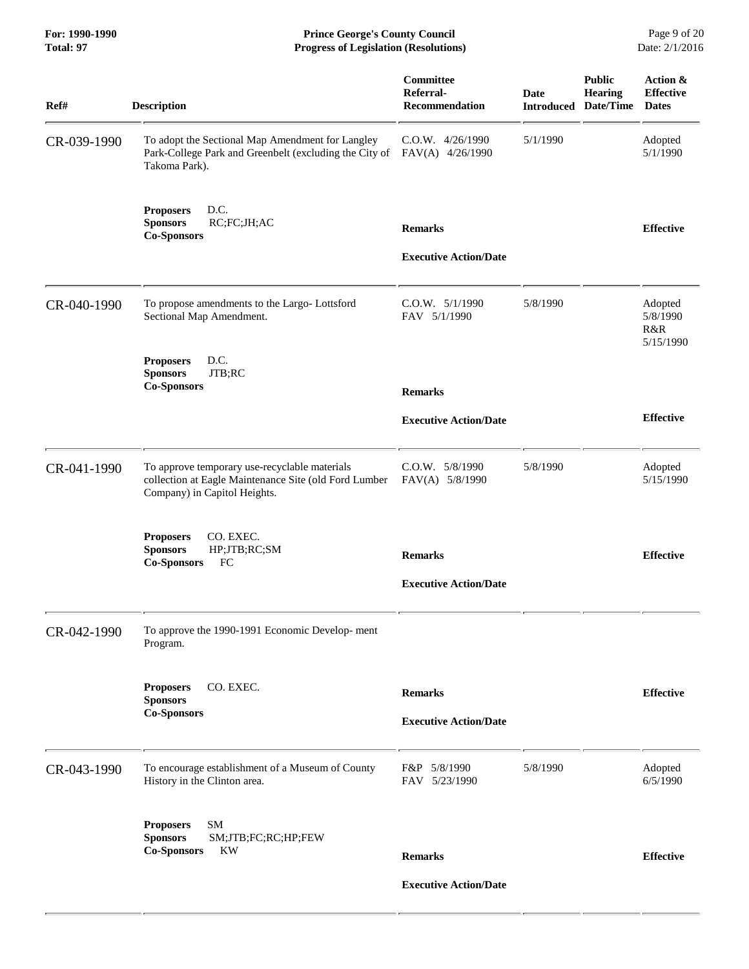**For: 1990-1990 Prince George's County Council** Page 9 of 20<br> **Prince George's County Council** Page 9 of 20<br> **Progress of Legislation (Resolutions)** Date: 2/1/2016 **Progress of Legislation (Resolutions) Progress of Legislation (Resolutions)** 

| Ref#        | <b>Description</b>                                                                                                                     | Committee<br>Referral-<br><b>Recommendation</b> | <b>Date</b> | <b>Public</b><br>Hearing<br><b>Introduced Date/Time</b> | Action &<br><b>Effective</b><br><b>Dates</b> |
|-------------|----------------------------------------------------------------------------------------------------------------------------------------|-------------------------------------------------|-------------|---------------------------------------------------------|----------------------------------------------|
| CR-039-1990 | To adopt the Sectional Map Amendment for Langley<br>Park-College Park and Greenbelt (excluding the City of<br>Takoma Park).            | $C.0.W.$ 4/26/1990<br>FAV(A) 4/26/1990          | 5/1/1990    |                                                         | Adopted<br>5/1/1990                          |
|             | D.C.<br><b>Proposers</b><br>RC;FC;JH;AC<br><b>Sponsors</b><br><b>Co-Sponsors</b>                                                       | <b>Remarks</b>                                  |             |                                                         | <b>Effective</b>                             |
|             |                                                                                                                                        | <b>Executive Action/Date</b>                    |             |                                                         |                                              |
| CR-040-1990 | To propose amendments to the Largo-Lottsford<br>Sectional Map Amendment.                                                               | $C.0.W.$ $5/1/1990$<br>FAV 5/1/1990             | 5/8/1990    |                                                         | Adopted<br>5/8/1990<br>R&R<br>5/15/1990      |
|             | D.C.<br><b>Proposers</b><br>JTB;RC<br><b>Sponsors</b><br><b>Co-Sponsors</b>                                                            | <b>Remarks</b>                                  |             |                                                         |                                              |
|             |                                                                                                                                        | <b>Executive Action/Date</b>                    |             |                                                         | <b>Effective</b>                             |
| CR-041-1990 | To approve temporary use-recyclable materials<br>collection at Eagle Maintenance Site (old Ford Lumber<br>Company) in Capitol Heights. | C.O.W. 5/8/1990<br>FAV(A) 5/8/1990              | 5/8/1990    |                                                         | Adopted<br>5/15/1990                         |
|             | <b>Proposers</b><br>CO. EXEC.<br><b>Sponsors</b><br>HP;JTB;RC;SM<br><b>Co-Sponsors</b><br>FC                                           | <b>Remarks</b>                                  |             |                                                         | <b>Effective</b>                             |
|             |                                                                                                                                        | <b>Executive Action/Date</b>                    |             |                                                         |                                              |
| CR-042-1990 | To approve the 1990-1991 Economic Develop-ment<br>Program.                                                                             |                                                 |             |                                                         |                                              |
|             | CO. EXEC.<br><b>Proposers</b>                                                                                                          | <b>Remarks</b>                                  |             |                                                         | <b>Effective</b>                             |
|             | <b>Sponsors</b><br><b>Co-Sponsors</b>                                                                                                  | <b>Executive Action/Date</b>                    |             |                                                         |                                              |
| CR-043-1990 | To encourage establishment of a Museum of County<br>History in the Clinton area.                                                       | F&P 5/8/1990<br>FAV 5/23/1990                   | 5/8/1990    |                                                         | Adopted<br>6/5/1990                          |
|             | <b>SM</b><br><b>Proposers</b>                                                                                                          |                                                 |             |                                                         |                                              |
|             | <b>Sponsors</b><br>SM;JTB;FC;RC;HP;FEW<br>KW<br><b>Co-Sponsors</b>                                                                     | <b>Remarks</b>                                  |             |                                                         | <b>Effective</b>                             |
|             |                                                                                                                                        | <b>Executive Action/Date</b>                    |             |                                                         |                                              |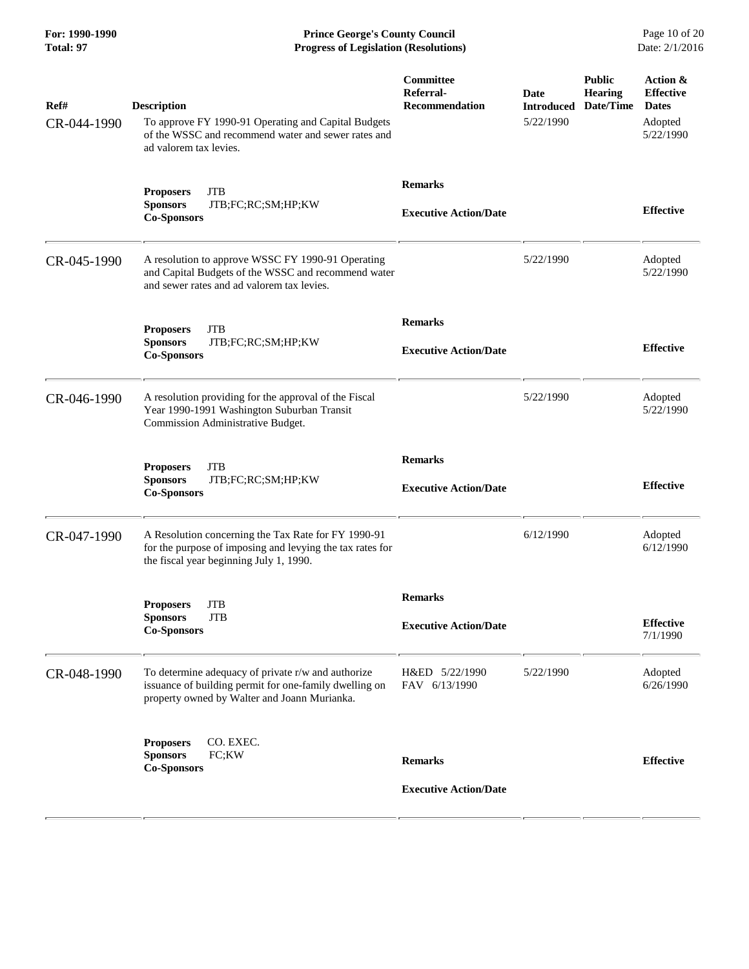**For: 1990-1990 Prince George's County Council** Page 10 of 20<br> **Prince George's County Council** Page 10 of 20<br> **Progress of Legislation (Resolutions)** Date: 2/1/2016 **Progress of Legislation (Resolutions) Progress of Legislation (Resolutions)** 

| Ref#<br>CR-044-1990 | <b>Description</b><br>To approve FY 1990-91 Operating and Capital Budgets<br>of the WSSC and recommend water and sewer rates and<br>ad valorem tax levies.   | Committee<br>Referral-<br><b>Recommendation</b> | Date<br><b>Introduced</b><br>5/22/1990 | <b>Public</b><br><b>Hearing</b><br>Date/Time | Action &<br><b>Effective</b><br><b>Dates</b><br>Adopted<br>5/22/1990 |
|---------------------|--------------------------------------------------------------------------------------------------------------------------------------------------------------|-------------------------------------------------|----------------------------------------|----------------------------------------------|----------------------------------------------------------------------|
|                     | <b>JTB</b><br><b>Proposers</b><br>JTB;FC;RC;SM;HP;KW<br><b>Sponsors</b><br><b>Co-Sponsors</b>                                                                | <b>Remarks</b><br><b>Executive Action/Date</b>  |                                        |                                              | <b>Effective</b>                                                     |
| CR-045-1990         | A resolution to approve WSSC FY 1990-91 Operating<br>and Capital Budgets of the WSSC and recommend water<br>and sewer rates and ad valorem tax levies.       |                                                 | 5/22/1990                              |                                              | Adopted<br>5/22/1990                                                 |
|                     | <b>JTB</b><br><b>Proposers</b><br><b>Sponsors</b><br>JTB;FC;RC;SM;HP;KW<br><b>Co-Sponsors</b>                                                                | <b>Remarks</b><br><b>Executive Action/Date</b>  |                                        |                                              | <b>Effective</b>                                                     |
| CR-046-1990         | A resolution providing for the approval of the Fiscal<br>Year 1990-1991 Washington Suburban Transit<br>Commission Administrative Budget.                     |                                                 | 5/22/1990                              |                                              | Adopted<br>5/22/1990                                                 |
|                     | <b>JTB</b><br><b>Proposers</b><br><b>Sponsors</b><br>JTB;FC;RC;SM;HP;KW<br><b>Co-Sponsors</b>                                                                | <b>Remarks</b><br><b>Executive Action/Date</b>  |                                        |                                              | <b>Effective</b>                                                     |
| CR-047-1990         | A Resolution concerning the Tax Rate for FY 1990-91<br>for the purpose of imposing and levying the tax rates for<br>the fiscal year beginning July 1, 1990.  |                                                 | 6/12/1990                              |                                              | Adopted<br>6/12/1990                                                 |
|                     | <b>JTB</b><br><b>Proposers</b><br><b>JTB</b><br>Sponsors<br><b>Co-Sponsors</b>                                                                               | <b>Remarks</b><br><b>Executive Action/Date</b>  |                                        |                                              | <b>Effective</b><br>7/1/1990                                         |
| CR-048-1990         | To determine adequacy of private r/w and authorize<br>issuance of building permit for one-family dwelling on<br>property owned by Walter and Joann Murianka. | H&ED 5/22/1990<br>FAV 6/13/1990                 | 5/22/1990                              |                                              | Adopted<br>6/26/1990                                                 |
|                     | CO. EXEC.<br><b>Proposers</b><br><b>Sponsors</b><br>FC;KW<br><b>Co-Sponsors</b>                                                                              | <b>Remarks</b><br><b>Executive Action/Date</b>  |                                        |                                              | <b>Effective</b>                                                     |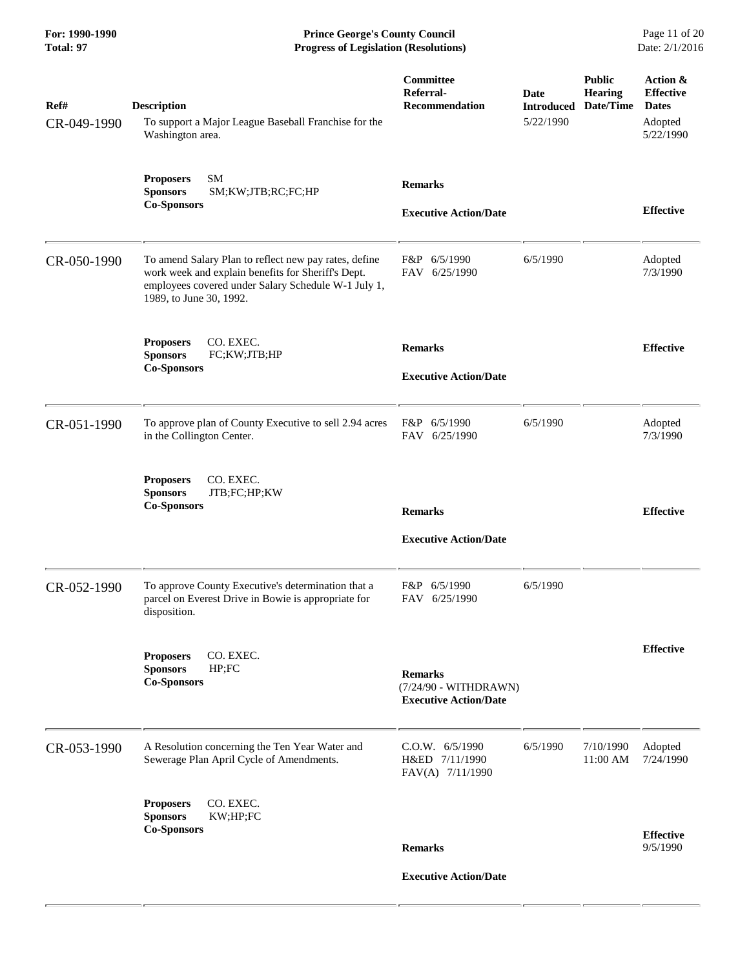**For: 1990-1990 Prince George's County Council** Page 11 of 20<br> **Progress of Legislation (Resolutions)** Date: 2/1/2016 **Progress of Legislation (Resolutions) Progress of Legislation (Resolutions)** 

| Ref#<br>CR-049-1990 | <b>Description</b><br>To support a Major League Baseball Franchise for the                                                                                                                    | Committee<br>Referral-<br><b>Recommendation</b>                         | Date<br><b>Introduced</b><br>5/22/1990 | <b>Public</b><br><b>Hearing</b><br>Date/Time | Action &<br><b>Effective</b><br><b>Dates</b><br>Adopted |
|---------------------|-----------------------------------------------------------------------------------------------------------------------------------------------------------------------------------------------|-------------------------------------------------------------------------|----------------------------------------|----------------------------------------------|---------------------------------------------------------|
|                     | Washington area.                                                                                                                                                                              |                                                                         |                                        |                                              | 5/22/1990                                               |
|                     | <b>SM</b><br><b>Proposers</b><br><b>Sponsors</b><br>SM;KW;JTB;RC;FC;HP                                                                                                                        | <b>Remarks</b>                                                          |                                        |                                              |                                                         |
|                     | <b>Co-Sponsors</b>                                                                                                                                                                            | <b>Executive Action/Date</b>                                            |                                        |                                              | <b>Effective</b>                                        |
| CR-050-1990         | To amend Salary Plan to reflect new pay rates, define<br>work week and explain benefits for Sheriff's Dept.<br>employees covered under Salary Schedule W-1 July 1,<br>1989, to June 30, 1992. | F&P 6/5/1990<br>FAV 6/25/1990                                           | 6/5/1990                               |                                              | Adopted<br>7/3/1990                                     |
|                     | CO. EXEC.<br><b>Proposers</b>                                                                                                                                                                 | <b>Remarks</b>                                                          |                                        |                                              | <b>Effective</b>                                        |
|                     | FC;KW;JTB;HP<br><b>Sponsors</b><br><b>Co-Sponsors</b>                                                                                                                                         | <b>Executive Action/Date</b>                                            |                                        |                                              |                                                         |
| CR-051-1990         | To approve plan of County Executive to sell 2.94 acres<br>in the Collington Center.                                                                                                           | F&P<br>6/5/1990<br>FAV 6/25/1990                                        | 6/5/1990                               |                                              | Adopted<br>7/3/1990                                     |
|                     | CO. EXEC.<br><b>Proposers</b><br><b>Sponsors</b><br>JTB;FC;HP;KW<br><b>Co-Sponsors</b>                                                                                                        | <b>Remarks</b>                                                          |                                        |                                              | <b>Effective</b>                                        |
|                     |                                                                                                                                                                                               | <b>Executive Action/Date</b>                                            |                                        |                                              |                                                         |
| CR-052-1990         | To approve County Executive's determination that a<br>parcel on Everest Drive in Bowie is appropriate for<br>disposition.                                                                     | 6/5/1990<br>F&P<br>6/25/1990<br>FAV                                     | 6/5/1990                               |                                              |                                                         |
|                     | CO. EXEC.<br><b>Proposers</b><br><b>Sponsors</b><br>HP; FC<br><b>Co-Sponsors</b>                                                                                                              | <b>Remarks</b><br>(7/24/90 - WITHDRAWN)<br><b>Executive Action/Date</b> |                                        |                                              | <b>Effective</b>                                        |
| CR-053-1990         | A Resolution concerning the Ten Year Water and<br>Sewerage Plan April Cycle of Amendments.                                                                                                    | C.0.W. 6/5/1990<br>H&ED 7/11/1990<br>FAV(A) 7/11/1990                   | 6/5/1990                               | 7/10/1990<br>11:00 AM                        | Adopted<br>7/24/1990                                    |
|                     | CO. EXEC.<br><b>Proposers</b><br><b>Sponsors</b><br>KW;HP;FC                                                                                                                                  |                                                                         |                                        |                                              |                                                         |
|                     | <b>Co-Sponsors</b>                                                                                                                                                                            | <b>Remarks</b>                                                          |                                        |                                              | <b>Effective</b><br>9/5/1990                            |
|                     |                                                                                                                                                                                               | <b>Executive Action/Date</b>                                            |                                        |                                              |                                                         |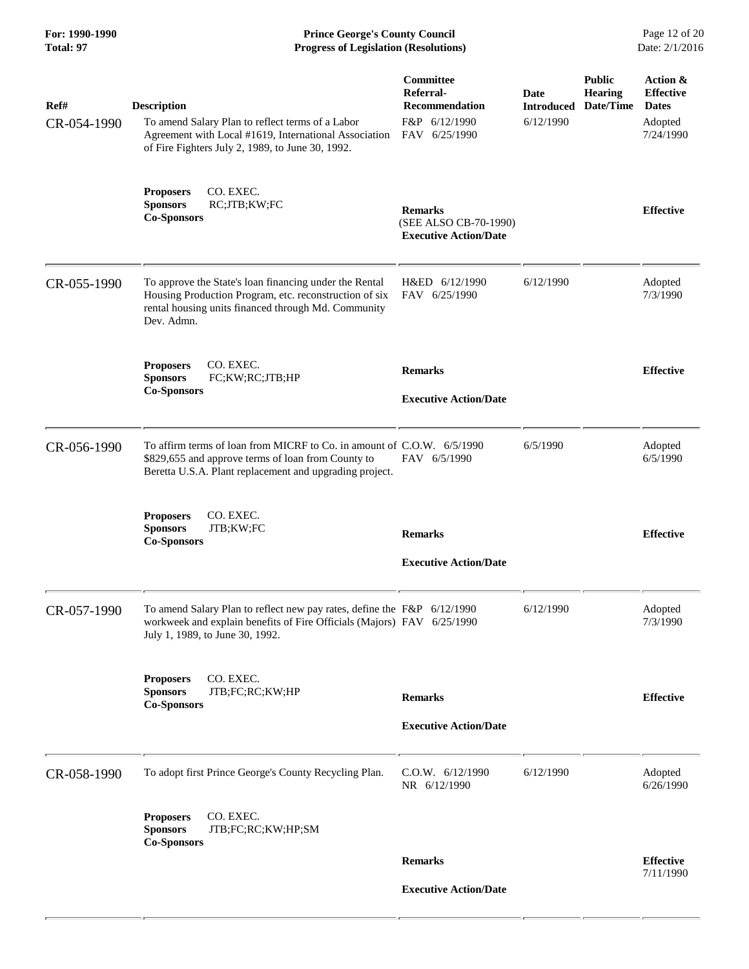**For: 1990-1990 Prince George's County Council** Page 12 of 20<br> **Prince George's County Council** Page 12 of 20<br> **Progress of Legislation (Resolutions)** Date: 2/1/2016 **Progress of Legislation (Resolutions) Progress of Legislation (Resolutions)** 

| Ref#<br>CR-054-1990 | <b>Description</b><br>To amend Salary Plan to reflect terms of a Labor<br>Agreement with Local #1619, International Association<br>of Fire Fighters July 2, 1989, to June 30, 1992.     | Committee<br>Referral-<br><b>Recommendation</b><br>F&P 6/12/1990<br>FAV 6/25/1990 | Date<br><b>Introduced</b><br>6/12/1990 | <b>Public</b><br><b>Hearing</b><br>Date/Time | Action &<br><b>Effective</b><br><b>Dates</b><br>Adopted<br>7/24/1990 |
|---------------------|-----------------------------------------------------------------------------------------------------------------------------------------------------------------------------------------|-----------------------------------------------------------------------------------|----------------------------------------|----------------------------------------------|----------------------------------------------------------------------|
|                     | CO. EXEC.<br><b>Proposers</b><br>RC;JTB;KW;FC<br><b>Sponsors</b><br><b>Co-Sponsors</b>                                                                                                  | <b>Remarks</b><br>(SEE ALSO CB-70-1990)<br><b>Executive Action/Date</b>           |                                        |                                              | <b>Effective</b>                                                     |
| CR-055-1990         | To approve the State's loan financing under the Rental<br>Housing Production Program, etc. reconstruction of six<br>rental housing units financed through Md. Community<br>Dev. Admn.   | H&ED 6/12/1990<br>FAV 6/25/1990                                                   | 6/12/1990                              |                                              | Adopted<br>7/3/1990                                                  |
|                     | <b>Proposers</b><br>CO. EXEC.<br><b>Sponsors</b><br>FC;KW;RC;JTB;HP<br><b>Co-Sponsors</b>                                                                                               | <b>Remarks</b><br><b>Executive Action/Date</b>                                    |                                        |                                              | <b>Effective</b>                                                     |
| CR-056-1990         | To affirm terms of loan from MICRF to Co. in amount of C.O.W. 6/5/1990<br>\$829,655 and approve terms of loan from County to<br>Beretta U.S.A. Plant replacement and upgrading project. | FAV 6/5/1990                                                                      | 6/5/1990                               |                                              | Adopted<br>6/5/1990                                                  |
|                     | <b>Proposers</b><br>CO. EXEC.<br><b>Sponsors</b><br>JTB;KW;FC<br><b>Co-Sponsors</b>                                                                                                     | <b>Remarks</b><br><b>Executive Action/Date</b>                                    |                                        |                                              | <b>Effective</b>                                                     |
| CR-057-1990         | To amend Salary Plan to reflect new pay rates, define the F&P 6/12/1990<br>workweek and explain benefits of Fire Officials (Majors) FAV 6/25/1990<br>July 1, 1989, to June 30, 1992.    |                                                                                   | 6/12/1990                              |                                              | Adopted<br>7/3/1990                                                  |
|                     | CO. EXEC.<br><b>Proposers</b><br><b>Sponsors</b><br>JTB;FC;RC;KW;HP<br><b>Co-Sponsors</b>                                                                                               | <b>Remarks</b><br><b>Executive Action/Date</b>                                    |                                        |                                              | <b>Effective</b>                                                     |
| CR-058-1990         | To adopt first Prince George's County Recycling Plan.                                                                                                                                   | C.O.W. 6/12/1990<br>NR 6/12/1990                                                  | 6/12/1990                              |                                              | Adopted<br>6/26/1990                                                 |
|                     | CO. EXEC.<br><b>Proposers</b><br><b>Sponsors</b><br>JTB;FC;RC;KW;HP;SM<br><b>Co-Sponsors</b>                                                                                            |                                                                                   |                                        |                                              |                                                                      |
|                     |                                                                                                                                                                                         | <b>Remarks</b>                                                                    |                                        |                                              | <b>Effective</b><br>7/11/1990                                        |
|                     |                                                                                                                                                                                         | <b>Executive Action/Date</b>                                                      |                                        |                                              |                                                                      |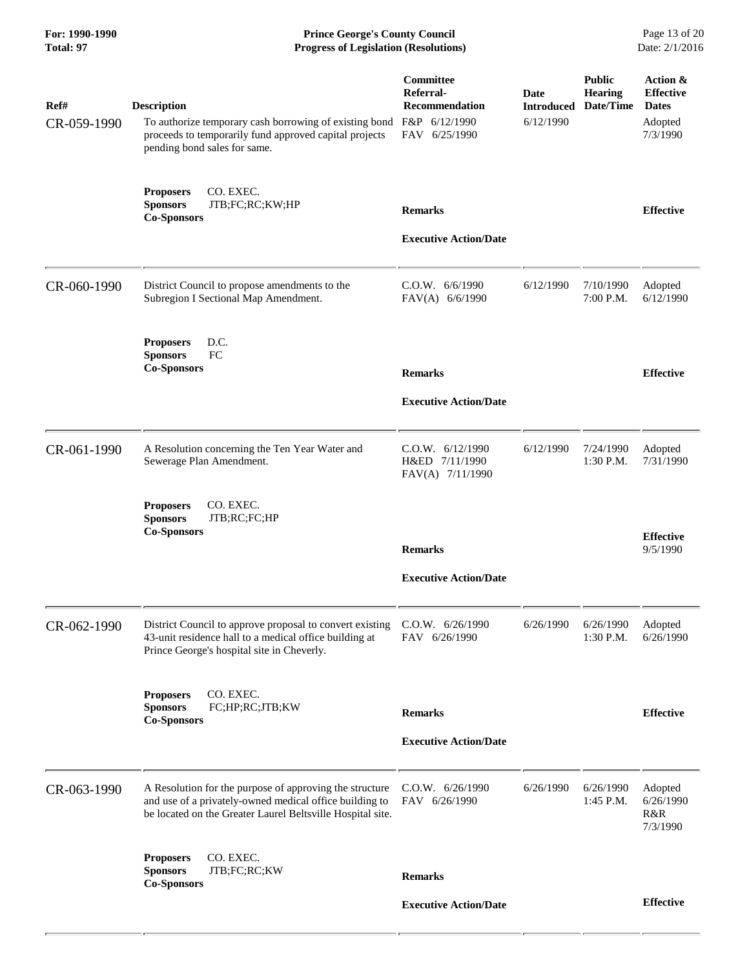| For: 1990-1990<br><b>Total: 97</b> | <b>Prince George's County Council</b><br>Date: 2/1/2016<br><b>Progress of Legislation (Resolutions)</b>                                                                          |                                                        |                           |                                              |                                              |
|------------------------------------|----------------------------------------------------------------------------------------------------------------------------------------------------------------------------------|--------------------------------------------------------|---------------------------|----------------------------------------------|----------------------------------------------|
| Ref#                               | <b>Description</b>                                                                                                                                                               | Committee<br>Referral-<br><b>Recommendation</b>        | Date<br><b>Introduced</b> | <b>Public</b><br><b>Hearing</b><br>Date/Time | Action &<br><b>Effective</b><br><b>Dates</b> |
| CR-059-1990                        | To authorize temporary cash borrowing of existing bond F&P 6/12/1990<br>proceeds to temporarily fund approved capital projects<br>pending bond sales for same.                   | FAV 6/25/1990                                          | 6/12/1990                 |                                              | Adopted<br>7/3/1990                          |
|                                    | <b>Proposers</b><br>CO. EXEC.<br>JTB;FC;RC;KW;HP<br><b>Sponsors</b><br><b>Co-Sponsors</b>                                                                                        | <b>Remarks</b>                                         |                           |                                              | <b>Effective</b>                             |
|                                    |                                                                                                                                                                                  | <b>Executive Action/Date</b>                           |                           |                                              |                                              |
| CR-060-1990                        | District Council to propose amendments to the<br>Subregion I Sectional Map Amendment.                                                                                            | C.0.W. 6/6/1990<br>FAV(A) 6/6/1990                     | 6/12/1990                 | 7/10/1990<br>7:00 P.M.                       | Adopted<br>6/12/1990                         |
|                                    | D.C.<br><b>Proposers</b><br>FC<br><b>Sponsors</b>                                                                                                                                |                                                        |                           |                                              |                                              |
|                                    | <b>Co-Sponsors</b>                                                                                                                                                               | <b>Remarks</b>                                         |                           |                                              | <b>Effective</b>                             |
|                                    |                                                                                                                                                                                  | <b>Executive Action/Date</b>                           |                           |                                              |                                              |
| CR-061-1990                        | A Resolution concerning the Ten Year Water and<br>Sewerage Plan Amendment.                                                                                                       | C.O.W. 6/12/1990<br>H&ED 7/11/1990<br>FAV(A) 7/11/1990 | 6/12/1990                 | 7/24/1990<br>1:30 P.M.                       | Adopted<br>7/31/1990                         |
|                                    | CO. EXEC.<br><b>Proposers</b><br><b>Sponsors</b><br>JTB;RC;FC;HP<br><b>Co-Sponsors</b>                                                                                           |                                                        |                           |                                              | <b>Effective</b>                             |
|                                    |                                                                                                                                                                                  | <b>Remarks</b>                                         |                           |                                              | 9/5/1990                                     |
|                                    |                                                                                                                                                                                  | <b>Executive Action/Date</b>                           |                           |                                              |                                              |
| CR-062-1990                        | District Council to approve proposal to convert existing<br>43-unit residence hall to a medical office building at<br>Prince George's hospital site in Cheverly.                 | C.O.W. 6/26/1990<br>FAV 6/26/1990                      | 6/26/1990                 | 6/26/1990<br>1:30 P.M.                       | Adopted<br>6/26/1990                         |
|                                    | <b>Proposers</b><br>CO. EXEC.<br>FC;HP;RC;JTB;KW<br><b>Sponsors</b><br><b>Co-Sponsors</b>                                                                                        | <b>Remarks</b>                                         |                           |                                              | <b>Effective</b>                             |
|                                    |                                                                                                                                                                                  | <b>Executive Action/Date</b>                           |                           |                                              |                                              |
| CR-063-1990                        | A Resolution for the purpose of approving the structure<br>and use of a privately-owned medical office building to<br>be located on the Greater Laurel Beltsville Hospital site. | C.O.W. 6/26/1990<br>FAV 6/26/1990                      | 6/26/1990                 | 6/26/1990<br>1:45 P.M.                       | Adopted<br>6/26/1990<br>R&R<br>7/3/1990      |
|                                    | CO. EXEC.<br><b>Proposers</b><br><b>Sponsors</b><br>JTB;FC;RC;KW<br><b>Co-Sponsors</b>                                                                                           | <b>Remarks</b>                                         |                           |                                              |                                              |
|                                    |                                                                                                                                                                                  | <b>Executive Action/Date</b>                           |                           |                                              | <b>Effective</b>                             |

 $-$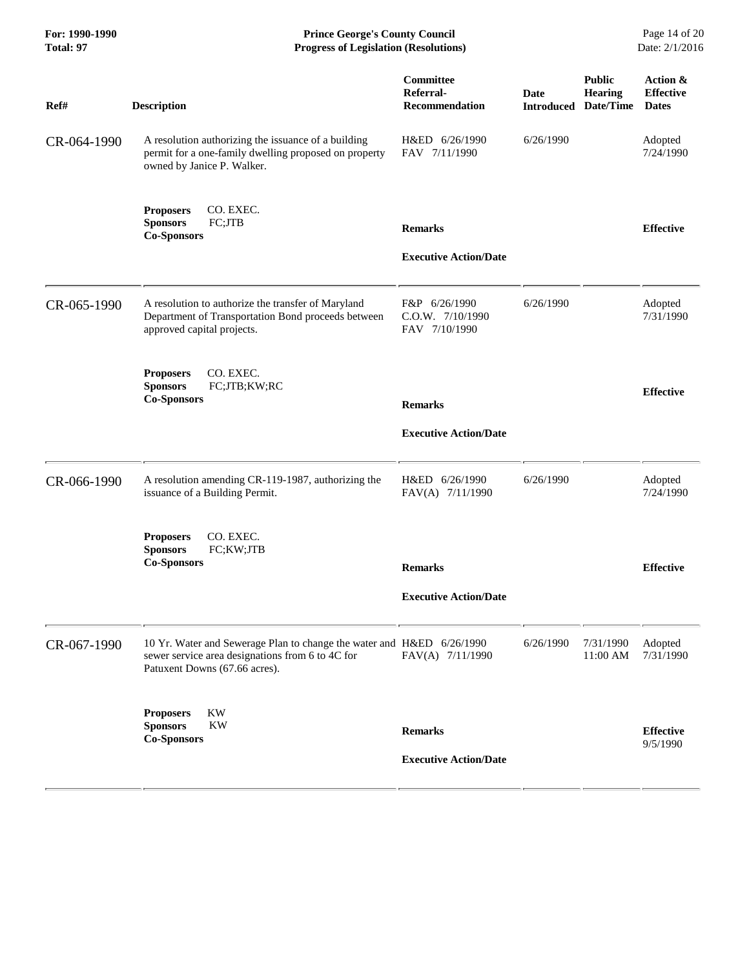| For: 1990-1990<br>Total: 97 | <b>Prince George's County Council</b><br>Date: 2/1/2016<br><b>Progress of Legislation (Resolutions)</b>                                                    |                                                    |                           |                                       |                                              |
|-----------------------------|------------------------------------------------------------------------------------------------------------------------------------------------------------|----------------------------------------------------|---------------------------|---------------------------------------|----------------------------------------------|
| Ref#                        | <b>Description</b>                                                                                                                                         | Committee<br>Referral-<br><b>Recommendation</b>    | Date<br><b>Introduced</b> | <b>Public</b><br>Hearing<br>Date/Time | Action &<br><b>Effective</b><br><b>Dates</b> |
| CR-064-1990                 | A resolution authorizing the issuance of a building<br>permit for a one-family dwelling proposed on property<br>owned by Janice P. Walker.                 | H&ED 6/26/1990<br>FAV 7/11/1990                    | 6/26/1990                 |                                       | Adopted<br>7/24/1990                         |
|                             | <b>Proposers</b><br>CO. EXEC.<br><b>Sponsors</b><br>FC;JTB<br><b>Co-Sponsors</b>                                                                           | <b>Remarks</b>                                     |                           |                                       | <b>Effective</b>                             |
|                             |                                                                                                                                                            | <b>Executive Action/Date</b>                       |                           |                                       |                                              |
| CR-065-1990                 | A resolution to authorize the transfer of Maryland<br>Department of Transportation Bond proceeds between<br>approved capital projects.                     | F&P 6/26/1990<br>C.O.W. 7/10/1990<br>FAV 7/10/1990 | 6/26/1990                 |                                       | Adopted<br>7/31/1990                         |
|                             | CO. EXEC.<br><b>Proposers</b><br><b>Sponsors</b><br>FC;JTB;KW;RC<br><b>Co-Sponsors</b>                                                                     | <b>Remarks</b>                                     |                           |                                       | <b>Effective</b>                             |
|                             |                                                                                                                                                            | <b>Executive Action/Date</b>                       |                           |                                       |                                              |
| CR-066-1990                 | A resolution amending CR-119-1987, authorizing the<br>issuance of a Building Permit.                                                                       | H&ED 6/26/1990<br>FAV(A) 7/11/1990                 | 6/26/1990                 |                                       | Adopted<br>7/24/1990                         |
|                             | CO. EXEC.<br><b>Proposers</b><br>FC;KW;JTB<br><b>Sponsors</b><br><b>Co-Sponsors</b>                                                                        | <b>Remarks</b>                                     |                           |                                       | <b>Effective</b>                             |
|                             |                                                                                                                                                            | <b>Executive Action/Date</b>                       |                           |                                       |                                              |
| CR-067-1990                 | 10 Yr. Water and Sewerage Plan to change the water and H&ED 6/26/1990<br>sewer service area designations from 6 to 4C for<br>Patuxent Downs (67.66 acres). | FAV(A) 7/11/1990                                   | 6/26/1990                 | 7/31/1990<br>11:00 AM                 | Adopted<br>7/31/1990                         |
|                             | <b>Proposers</b><br>KW<br><b>KW</b>                                                                                                                        |                                                    |                           |                                       |                                              |
|                             | <b>Sponsors</b><br><b>Co-Sponsors</b>                                                                                                                      | <b>Remarks</b>                                     |                           |                                       | <b>Effective</b><br>9/5/1990                 |
|                             |                                                                                                                                                            | <b>Executive Action/Date</b>                       |                           |                                       |                                              |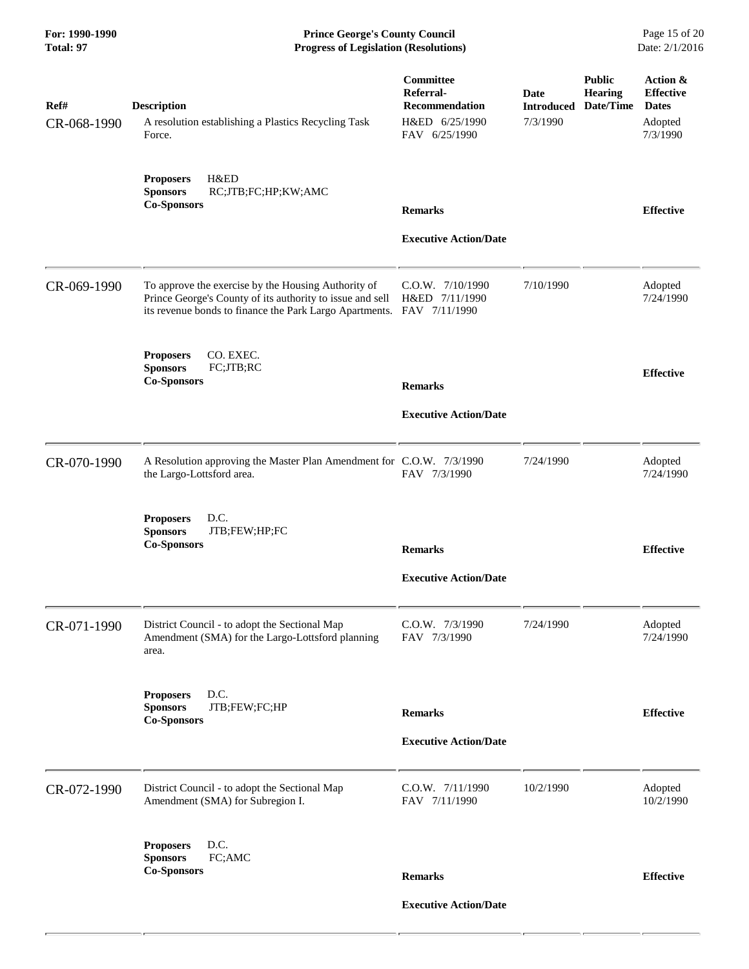**For: 1990-1990 Prince George's County Council** Page 15 of 20<br> **Prince George's County Council** Page 15 of 20<br> **Progress of Legislation (Resolutions)** Date: 2/1/2016 **Progress of Legislation (Resolutions) Progress of Legislation (Resolutions)** 

| Ref#<br>CR-068-1990 | <b>Description</b><br>A resolution establishing a Plastics Recycling Task<br>Force.                                                                                         | Committee<br>Referral-<br><b>Recommendation</b><br>H&ED 6/25/1990<br>FAV 6/25/1990 | <b>Date</b><br><b>Introduced</b><br>7/3/1990 | <b>Public</b><br><b>Hearing</b><br>Date/Time | Action &<br><b>Effective</b><br><b>Dates</b><br>Adopted<br>7/3/1990 |
|---------------------|-----------------------------------------------------------------------------------------------------------------------------------------------------------------------------|------------------------------------------------------------------------------------|----------------------------------------------|----------------------------------------------|---------------------------------------------------------------------|
|                     | H&ED<br><b>Proposers</b><br><b>Sponsors</b><br>RC;JTB;FC;HP;KW;AMC<br><b>Co-Sponsors</b>                                                                                    | <b>Remarks</b><br><b>Executive Action/Date</b>                                     |                                              |                                              | <b>Effective</b>                                                    |
| CR-069-1990         | To approve the exercise by the Housing Authority of<br>Prince George's County of its authority to issue and sell<br>its revenue bonds to finance the Park Largo Apartments. | C.O.W. 7/10/1990<br>H&ED 7/11/1990<br>FAV 7/11/1990                                | 7/10/1990                                    |                                              | Adopted<br>7/24/1990                                                |
|                     | CO. EXEC.<br><b>Proposers</b><br><b>Sponsors</b><br>FC;JTB;RC<br><b>Co-Sponsors</b>                                                                                         | <b>Remarks</b>                                                                     |                                              |                                              | <b>Effective</b>                                                    |
|                     |                                                                                                                                                                             | <b>Executive Action/Date</b>                                                       |                                              |                                              |                                                                     |
| CR-070-1990         | A Resolution approving the Master Plan Amendment for C.O.W. 7/3/1990<br>the Largo-Lottsford area.                                                                           | FAV 7/3/1990                                                                       | 7/24/1990                                    |                                              | Adopted<br>7/24/1990                                                |
|                     | <b>Proposers</b><br>D.C.<br>JTB;FEW;HP;FC<br><b>Sponsors</b><br><b>Co-Sponsors</b>                                                                                          | <b>Remarks</b>                                                                     |                                              |                                              | <b>Effective</b>                                                    |
|                     |                                                                                                                                                                             | <b>Executive Action/Date</b>                                                       |                                              |                                              |                                                                     |
| CR-071-1990         | District Council - to adopt the Sectional Map<br>Amendment (SMA) for the Largo-Lottsford planning<br>area.                                                                  | C.O.W. 7/3/1990<br>FAV 7/3/1990                                                    | 7/24/1990                                    |                                              | Adopted<br>7/24/1990                                                |
|                     | D.C.<br><b>Proposers</b><br>JTB;FEW;FC;HP<br><b>Sponsors</b><br><b>Co-Sponsors</b>                                                                                          | <b>Remarks</b>                                                                     |                                              |                                              | <b>Effective</b>                                                    |
|                     |                                                                                                                                                                             | <b>Executive Action/Date</b>                                                       |                                              |                                              |                                                                     |
| CR-072-1990         | District Council - to adopt the Sectional Map<br>Amendment (SMA) for Subregion I.                                                                                           | C.O.W. 7/11/1990<br>FAV 7/11/1990                                                  | 10/2/1990                                    |                                              | Adopted<br>10/2/1990                                                |
|                     | D.C.<br><b>Proposers</b><br>FC;AMC<br><b>Sponsors</b><br><b>Co-Sponsors</b>                                                                                                 | <b>Remarks</b>                                                                     |                                              |                                              | <b>Effective</b>                                                    |
|                     |                                                                                                                                                                             | <b>Executive Action/Date</b>                                                       |                                              |                                              |                                                                     |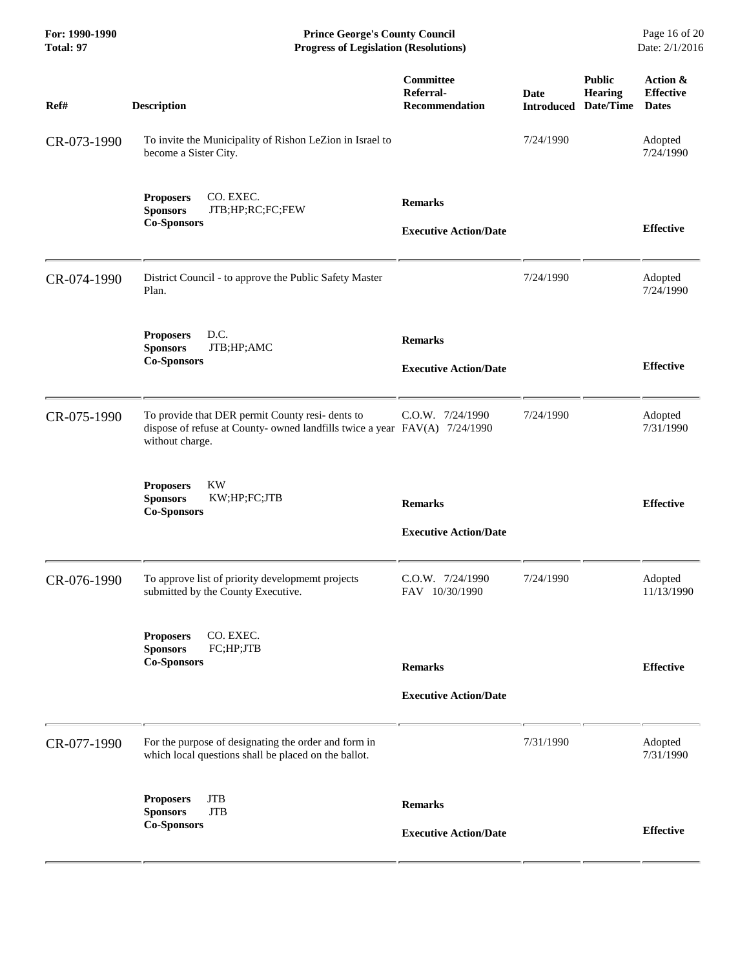| For: 1990-1990<br>Total: 97 | <b>Prince George's County Council</b><br>Date: 2/1/2016<br><b>Progress of Legislation (Resolutions)</b>                                           |                                                 |                                     |                                 |                                              |
|-----------------------------|---------------------------------------------------------------------------------------------------------------------------------------------------|-------------------------------------------------|-------------------------------------|---------------------------------|----------------------------------------------|
| Ref#                        | <b>Description</b>                                                                                                                                | Committee<br>Referral-<br><b>Recommendation</b> | Date<br><b>Introduced Date/Time</b> | <b>Public</b><br><b>Hearing</b> | Action &<br><b>Effective</b><br><b>Dates</b> |
| CR-073-1990                 | To invite the Municipality of Rishon LeZion in Israel to<br>become a Sister City.                                                                 |                                                 | 7/24/1990                           |                                 | Adopted<br>7/24/1990                         |
|                             | CO. EXEC.<br><b>Proposers</b><br><b>Sponsors</b><br>JTB;HP;RC;FC;FEW<br><b>Co-Sponsors</b>                                                        | <b>Remarks</b><br><b>Executive Action/Date</b>  |                                     |                                 | <b>Effective</b>                             |
| CR-074-1990                 | District Council - to approve the Public Safety Master<br>Plan.                                                                                   |                                                 | 7/24/1990                           |                                 | Adopted<br>7/24/1990                         |
|                             | <b>Proposers</b><br>D.C.<br><b>Sponsors</b><br>JTB;HP;AMC<br><b>Co-Sponsors</b>                                                                   | <b>Remarks</b><br><b>Executive Action/Date</b>  |                                     |                                 | <b>Effective</b>                             |
| CR-075-1990                 | To provide that DER permit County resi- dents to<br>dispose of refuse at County- owned landfills twice a year FAV(A) 7/24/1990<br>without charge. | C.O.W. 7/24/1990                                | 7/24/1990                           |                                 | Adopted<br>7/31/1990                         |
|                             | <b>Proposers</b><br><b>KW</b><br><b>Sponsors</b><br>KW;HP;FC;JTB<br><b>Co-Sponsors</b>                                                            | <b>Remarks</b><br><b>Executive Action/Date</b>  |                                     |                                 | <b>Effective</b>                             |
| CR-076-1990                 | To approve list of priority developmemt projects<br>submitted by the County Executive.                                                            | C.O.W. 7/24/1990<br>FAV 10/30/1990              | 7/24/1990                           |                                 | Adopted<br>11/13/1990                        |
|                             | CO. EXEC.<br><b>Proposers</b><br>FC;HP;JTB<br><b>Sponsors</b><br><b>Co-Sponsors</b>                                                               | <b>Remarks</b><br><b>Executive Action/Date</b>  |                                     |                                 | <b>Effective</b>                             |
| CR-077-1990                 | For the purpose of designating the order and form in<br>which local questions shall be placed on the ballot.                                      |                                                 | 7/31/1990                           |                                 | Adopted<br>7/31/1990                         |
|                             | <b>JTB</b><br><b>Proposers</b><br><b>Sponsors</b><br><b>JTB</b><br><b>Co-Sponsors</b>                                                             | <b>Remarks</b><br><b>Executive Action/Date</b>  |                                     |                                 | <b>Effective</b>                             |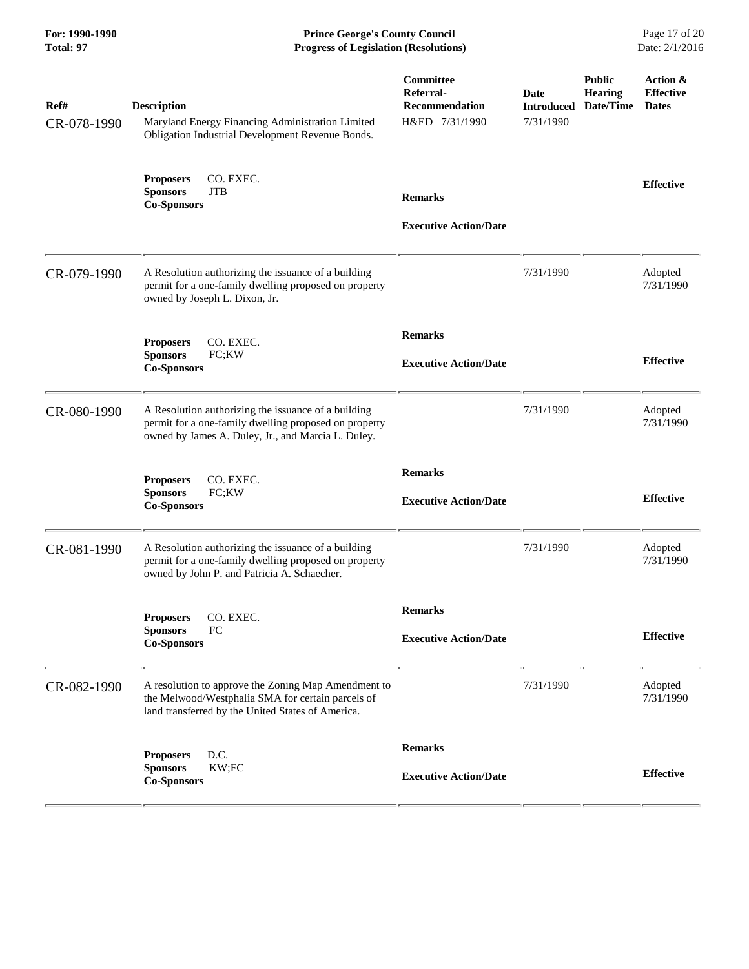**For: 1990-1990 Prince George's County Council** Page 17 of 20<br> **Prince George's County Council** Page 17 of 20<br> **Progress of Legislation (Resolutions)** Date: 2/1/2016 **Progress of Legislation (Resolutions) Progress of Legislation (Resolutions)** 

| Ref#<br>CR-078-1990 | <b>Description</b><br>Maryland Energy Financing Administration Limited<br>Obligation Industrial Development Revenue Bonds.                                         | <b>Committee</b><br>Referral-<br><b>Recommendation</b><br>H&ED 7/31/1990 | <b>Date</b><br>7/31/1990 | <b>Public</b><br><b>Hearing</b><br><b>Introduced Date/Time</b> | Action &<br><b>Effective</b><br><b>Dates</b> |
|---------------------|--------------------------------------------------------------------------------------------------------------------------------------------------------------------|--------------------------------------------------------------------------|--------------------------|----------------------------------------------------------------|----------------------------------------------|
|                     | CO. EXEC.<br><b>Proposers</b><br><b>Sponsors</b><br><b>JTB</b><br><b>Co-Sponsors</b>                                                                               | <b>Remarks</b><br><b>Executive Action/Date</b>                           |                          |                                                                | <b>Effective</b>                             |
| CR-079-1990         | A Resolution authorizing the issuance of a building<br>permit for a one-family dwelling proposed on property<br>owned by Joseph L. Dixon, Jr.                      |                                                                          | 7/31/1990                |                                                                | Adopted<br>7/31/1990                         |
|                     | <b>Proposers</b><br>CO. EXEC.<br>FC;KW<br><b>Sponsors</b><br><b>Co-Sponsors</b>                                                                                    | <b>Remarks</b><br><b>Executive Action/Date</b>                           |                          |                                                                | <b>Effective</b>                             |
| CR-080-1990         | A Resolution authorizing the issuance of a building<br>permit for a one-family dwelling proposed on property<br>owned by James A. Duley, Jr., and Marcia L. Duley. |                                                                          | 7/31/1990                |                                                                | Adopted<br>7/31/1990                         |
|                     | CO. EXEC.<br><b>Proposers</b><br><b>Sponsors</b><br>FC;KW<br><b>Co-Sponsors</b>                                                                                    | <b>Remarks</b><br><b>Executive Action/Date</b>                           |                          |                                                                | <b>Effective</b>                             |
| CR-081-1990         | A Resolution authorizing the issuance of a building<br>permit for a one-family dwelling proposed on property<br>owned by John P. and Patricia A. Schaecher.        |                                                                          | 7/31/1990                |                                                                | Adopted<br>7/31/1990                         |
|                     | <b>Proposers</b><br>CO. EXEC.<br>FC<br><b>Sponsors</b><br><b>Co-Sponsors</b>                                                                                       | <b>Remarks</b><br><b>Executive Action/Date</b>                           |                          |                                                                | <b>Effective</b>                             |
| CR-082-1990         | A resolution to approve the Zoning Map Amendment to<br>the Melwood/Westphalia SMA for certain parcels of<br>land transferred by the United States of America.      |                                                                          | 7/31/1990                |                                                                | Adopted<br>7/31/1990                         |
|                     | D.C.<br><b>Proposers</b><br><b>Sponsors</b><br>KW;FC<br><b>Co-Sponsors</b>                                                                                         | <b>Remarks</b><br><b>Executive Action/Date</b>                           |                          |                                                                | <b>Effective</b>                             |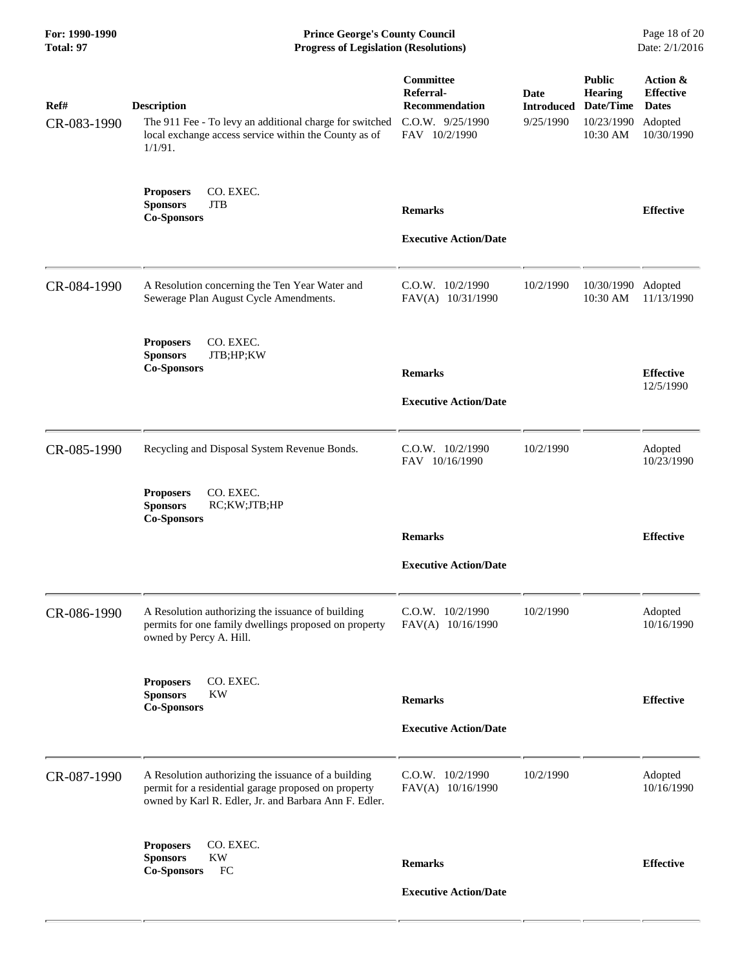| For: 1990-1990<br>Total: 97 | <b>Prince George's County Council</b><br><b>Progress of Legislation (Resolutions)</b>                                                                                |                                                                               |                                        |                                                                        | Page 18 of 20<br>Date: 2/1/2016                                       |
|-----------------------------|----------------------------------------------------------------------------------------------------------------------------------------------------------------------|-------------------------------------------------------------------------------|----------------------------------------|------------------------------------------------------------------------|-----------------------------------------------------------------------|
| Ref#<br>CR-083-1990         | <b>Description</b><br>The 911 Fee - To levy an additional charge for switched<br>local exchange access service within the County as of<br>$1/1/91$ .                 | Committee<br>Referral-<br>Recommendation<br>C.O.W. 9/25/1990<br>FAV 10/2/1990 | Date<br><b>Introduced</b><br>9/25/1990 | <b>Public</b><br><b>Hearing</b><br>Date/Time<br>10/23/1990<br>10:30 AM | Action &<br><b>Effective</b><br><b>Dates</b><br>Adopted<br>10/30/1990 |
|                             | <b>Proposers</b><br>CO. EXEC.<br><b>JTB</b><br><b>Sponsors</b><br><b>Co-Sponsors</b>                                                                                 | <b>Remarks</b><br><b>Executive Action/Date</b>                                |                                        |                                                                        | <b>Effective</b>                                                      |
| CR-084-1990                 | A Resolution concerning the Ten Year Water and<br>Sewerage Plan August Cycle Amendments.                                                                             | C.O.W. 10/2/1990<br>FAV(A) 10/31/1990                                         | 10/2/1990                              | 10/30/1990<br>10:30 AM                                                 | Adopted<br>11/13/1990                                                 |
|                             | CO. EXEC.<br><b>Proposers</b><br><b>Sponsors</b><br>JTB;HP;KW<br><b>Co-Sponsors</b>                                                                                  | <b>Remarks</b><br><b>Executive Action/Date</b>                                |                                        |                                                                        | <b>Effective</b><br>12/5/1990                                         |
| CR-085-1990                 | Recycling and Disposal System Revenue Bonds.<br>CO. EXEC.<br><b>Proposers</b>                                                                                        | C.O.W. 10/2/1990<br>FAV 10/16/1990                                            | 10/2/1990                              |                                                                        | Adopted<br>10/23/1990                                                 |
|                             | RC;KW;JTB;HP<br><b>Sponsors</b><br><b>Co-Sponsors</b>                                                                                                                | <b>Remarks</b><br><b>Executive Action/Date</b>                                |                                        |                                                                        | <b>Effective</b>                                                      |
| CR-086-1990                 | A Resolution authorizing the issuance of building<br>permits for one family dwellings proposed on property<br>owned by Percy A. Hill.                                | $C.O.W.$ $10/2/1990$<br>FAV(A) 10/16/1990                                     | 10/2/1990                              |                                                                        | Adopted<br>10/16/1990                                                 |
|                             | CO. EXEC.<br><b>Proposers</b><br><b>Sponsors</b><br><b>KW</b><br><b>Co-Sponsors</b>                                                                                  | <b>Remarks</b><br><b>Executive Action/Date</b>                                |                                        |                                                                        | <b>Effective</b>                                                      |
| CR-087-1990                 | A Resolution authorizing the issuance of a building<br>permit for a residential garage proposed on property<br>owned by Karl R. Edler, Jr. and Barbara Ann F. Edler. | $C.O.W.$ $10/2/1990$<br>FAV(A) 10/16/1990                                     | 10/2/1990                              |                                                                        | Adopted<br>10/16/1990                                                 |
|                             | CO. EXEC.<br><b>Proposers</b><br><b>KW</b><br><b>Sponsors</b><br>FC<br><b>Co-Sponsors</b>                                                                            | <b>Remarks</b><br><b>Executive Action/Date</b>                                |                                        |                                                                        | <b>Effective</b>                                                      |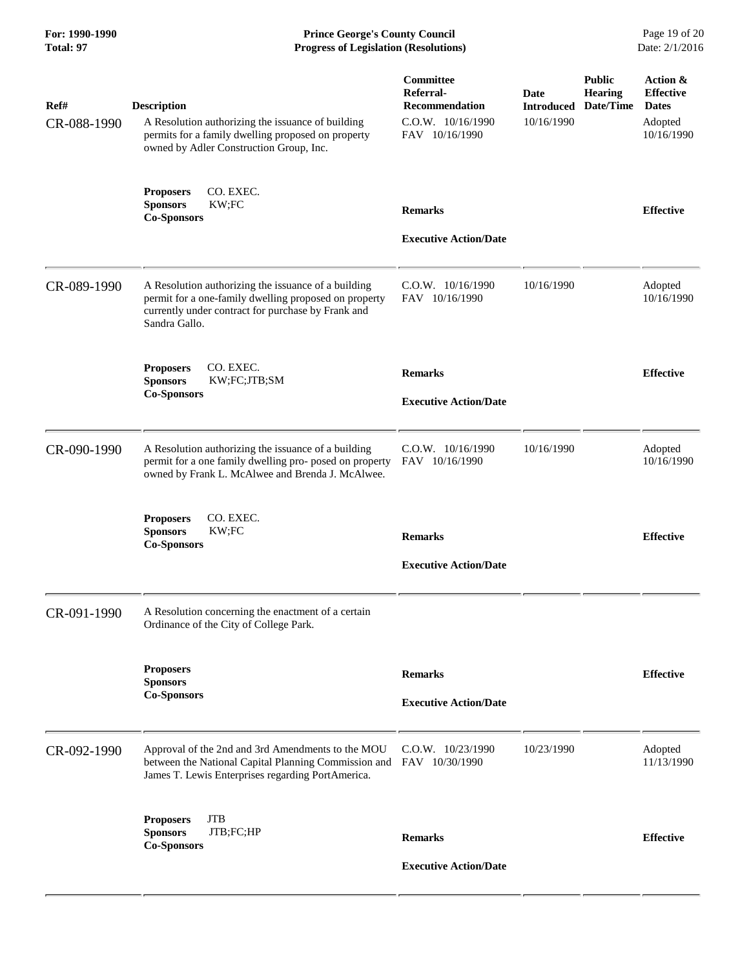**For: 1990-1990 Prince George's County Council** Page 19 of 20<br> **Prince George's County Council** Page 19 of 20<br> **Progress of Legislation (Resolutions)** Date: 2/1/2016 **Progress of Legislation (Resolutions) Progress of Legislation (Resolutions)** 

| Ref#<br>CR-088-1990 | <b>Description</b><br>A Resolution authorizing the issuance of building<br>permits for a family dwelling proposed on property<br>owned by Adler Construction Group, Inc.            | Committee<br>Referral-<br><b>Recommendation</b><br>C.O.W. 10/16/1990<br>FAV 10/16/1990 | <b>Date</b><br><b>Introduced</b><br>10/16/1990 | <b>Public</b><br><b>Hearing</b><br>Date/Time | Action &<br><b>Effective</b><br><b>Dates</b><br>Adopted<br>10/16/1990 |
|---------------------|-------------------------------------------------------------------------------------------------------------------------------------------------------------------------------------|----------------------------------------------------------------------------------------|------------------------------------------------|----------------------------------------------|-----------------------------------------------------------------------|
|                     | <b>Proposers</b><br>CO. EXEC.<br>KW;FC<br><b>Sponsors</b><br><b>Co-Sponsors</b>                                                                                                     | <b>Remarks</b><br><b>Executive Action/Date</b>                                         |                                                |                                              | <b>Effective</b>                                                      |
| CR-089-1990         | A Resolution authorizing the issuance of a building<br>permit for a one-family dwelling proposed on property<br>currently under contract for purchase by Frank and<br>Sandra Gallo. | C.O.W. 10/16/1990<br>FAV 10/16/1990                                                    | 10/16/1990                                     |                                              | Adopted<br>10/16/1990                                                 |
|                     | CO. EXEC.<br><b>Proposers</b><br><b>Sponsors</b><br>KW;FC;JTB;SM<br><b>Co-Sponsors</b>                                                                                              | <b>Remarks</b><br><b>Executive Action/Date</b>                                         |                                                |                                              | <b>Effective</b>                                                      |
| CR-090-1990         | A Resolution authorizing the issuance of a building<br>permit for a one family dwelling pro- posed on property<br>owned by Frank L. McAlwee and Brenda J. McAlwee.                  | C.O.W. 10/16/1990<br>FAV 10/16/1990                                                    | 10/16/1990                                     |                                              | Adopted<br>10/16/1990                                                 |
|                     | CO. EXEC.<br><b>Proposers</b><br>KW;FC<br><b>Sponsors</b><br><b>Co-Sponsors</b>                                                                                                     | <b>Remarks</b><br><b>Executive Action/Date</b>                                         |                                                |                                              | <b>Effective</b>                                                      |
| CR-091-1990         | A Resolution concerning the enactment of a certain<br>Ordinance of the City of College Park.                                                                                        |                                                                                        |                                                |                                              |                                                                       |
|                     | <b>Proposers</b><br><b>Sponsors</b><br><b>Co-Sponsors</b>                                                                                                                           | <b>Remarks</b><br><b>Executive Action/Date</b>                                         |                                                |                                              | <b>Effective</b>                                                      |
| CR-092-1990         | Approval of the 2nd and 3rd Amendments to the MOU<br>between the National Capital Planning Commission and FAV 10/30/1990<br>James T. Lewis Enterprises regarding PortAmerica.       | $C.0.W.$ $10/23/1990$                                                                  | 10/23/1990                                     |                                              | Adopted<br>11/13/1990                                                 |
|                     | <b>Proposers</b><br><b>JTB</b><br>JTB;FC;HP<br><b>Sponsors</b><br><b>Co-Sponsors</b>                                                                                                | <b>Remarks</b><br><b>Executive Action/Date</b>                                         |                                                |                                              | <b>Effective</b>                                                      |